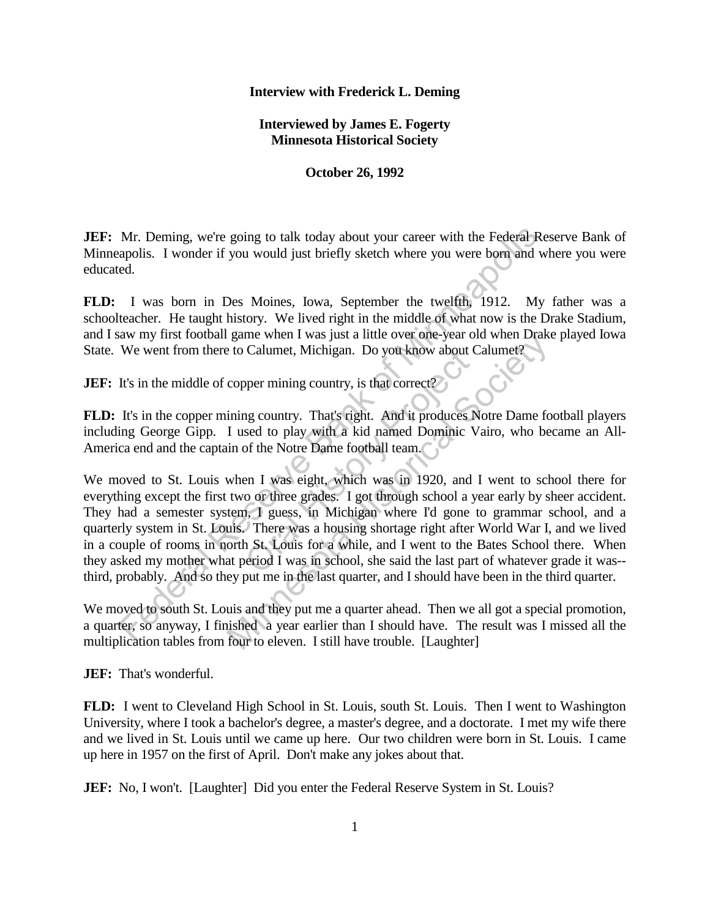## **Interview with Frederick L. Deming**

**Interviewed by James E. Fogerty Minnesota Historical Society**

**October 26, 1992**

**JEF:** Mr. Deming, we're going to talk today about your career with the Federal Reserve Bank of Minneapolis. I wonder if you would just briefly sketch where you were born and where you were educated.

**FLD:** I was born in Des Moines, Iowa, September the twelfth, 1912. My father was a schoolteacher. He taught history. We lived right in the middle of what now is the Drake Stadium, and I saw my first football game when I was just a little over one-year old when Drake played Iowa State. We went from there to Calumet, Michigan. Do you know about Calumet?

**JEF:** It's in the middle of copper mining country, is that correct?

**FLD:** It's in the copper mining country. That's right. And it produces Notre Dame football players including George Gipp. I used to play with a kid named Dominic Vairo, who became an All-America end and the captain of the Notre Dame football team.

We moved to St. Louis when I was eight, which was in 1920, and I went to school there for everything except the first two or three grades. I got through school a year early by sheer accident. They had a semester system, I guess, in Michigan where I'd gone to grammar school, and a quarterly system in St. Louis. There was a housing shortage right after World War I, and we lived in a couple of rooms in north St. Louis for a while, and I went to the Bates School there. When they asked my mother what period I was in school, she said the last part of whatever grade it was- third, probably. And so they put me in the last quarter, and I should have been in the third quarter. Mr. Deming, we're going to talk today about your career with the Federal Repolis. I wonder if you would just briefly sketch where you were born and wed.<br>
I was born in Des Moines, Iowa, September the twelfth, 1912. My tea Calumet, Michigan. Do you know about C<br>pper mining country, is that correct?<br>In g country. That's right. And it produces N<br>sed to play with a kid named Dominic V<br>of the Notre Dame football team.<br>Profile and Leam.<br>In T was game when I was just a nue over one-year old when Drake<br>to Calumet, Michigan. Do you know about Calumet?<br>copper mining country, is that correct?<br>ining country. That's right. And it produces Notre Dame for<br>I used to play wi

We moved to south St. Louis and they put me a quarter ahead. Then we all got a special promotion, a quarter, so anyway, I finished a year earlier than I should have. The result was I missed all the multiplication tables from four to eleven. I still have trouble. [Laughter]

**JEF:** That's wonderful.

**FLD:** I went to Cleveland High School in St. Louis, south St. Louis. Then I went to Washington University, where I took a bachelor's degree, a master's degree, and a doctorate. I met my wife there and we lived in St. Louis until we came up here. Our two children were born in St. Louis. I came up here in 1957 on the first of April. Don't make any jokes about that.

**JEF:** No, I won't. [Laughter] Did you enter the Federal Reserve System in St. Louis?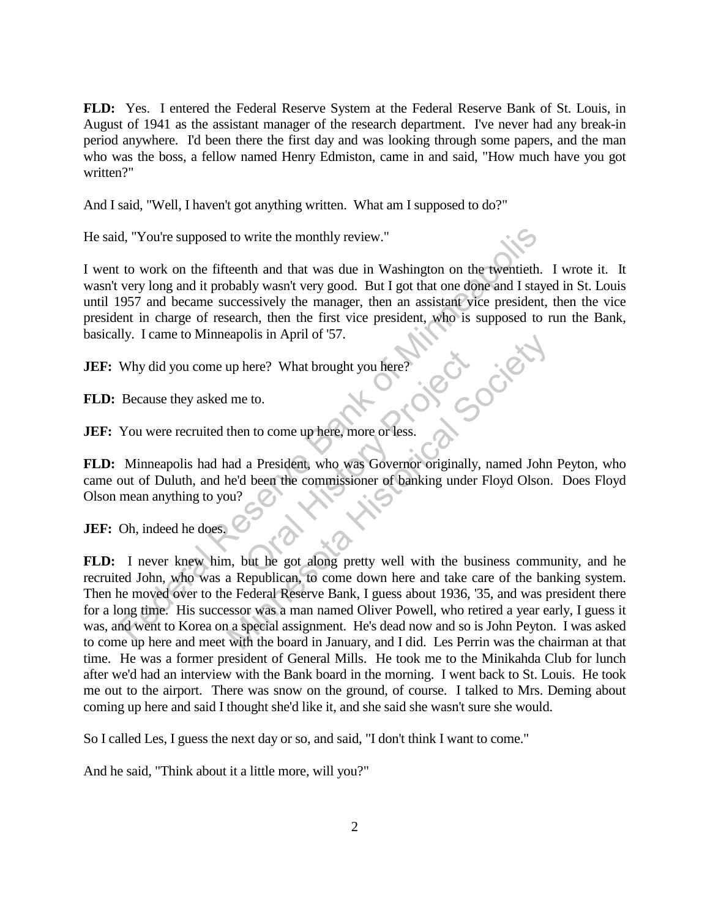**FLD:** Yes. I entered the Federal Reserve System at the Federal Reserve Bank of St. Louis, in August of 1941 as the assistant manager of the research department. I've never had any break-in period anywhere. I'd been there the first day and was looking through some papers, and the man who was the boss, a fellow named Henry Edmiston, came in and said, "How much have you got written?"

And I said, "Well, I haven't got anything written. What am I supposed to do?"

He said, "You're supposed to write the monthly review."

I went to work on the fifteenth and that was due in Washington on the twentieth. I wrote it. It wasn't very long and it probably wasn't very good. But I got that one done and I stayed in St. Louis until 1957 and became successively the manager, then an assistant vice president, then the vice president in charge of research, then the first vice president, who is supposed to run the Bank, basically. I came to Minneapolis in April of '57.<br> **JEF:** Why did you come up here? What brought you here?<br> **FLD:** Because th basically. I came to Minneapolis in April of '57.

**JEF:** Why did you come up here? What brought you here

**FLD:** Because they asked me to.

**JEF:** You were recruited then to come up here, more or less.

**FLD:** Minneapolis had had a President, who was Governor originally, named John Peyton, who came out of Duluth, and he'd been the commissioner of banking under Floyd Olson. Does Floyd Olson mean anything to you? There? What brought you here?<br>
E to.<br>
In to come up here, more or less.<br>
a President, who was Governor originally<br>
I been the commissioner of banking under<br>
Solve the got along pretty well with the bu

**JEF:** Oh, indeed he does.

**FLD:** I never knew him, but he got along pretty well with the business community, and he recruited John, who was a Republican, to come down here and take care of the banking system. Then he moved over to the Federal Reserve Bank, I guess about 1936, '35, and was president there for a long time. His successor was a man named Oliver Powell, who retired a year early, I guess it was, and went to Korea on a special assignment. He's dead now and so is John Peyton. I was asked to come up here and meet with the board in January, and I did. Les Perrin was the chairman at that time. He was a former president of General Mills. He took me to the Minikahda Club for lunch after we'd had an interview with the Bank board in the morning. I went back to St. Louis. He took me out to the airport. There was snow on the ground, of course. I talked to Mrs. Deming about coming up here and said I thought she'd like it, and she said she wasn't sure she would. (which we supposed to write the monthly review."<br>
to work on the fifteenth and that was due in Washington on the twentieth.<br>
very long and it probably wasn't very good. But I got that one done and I stay<br>
957 and became su me to the movement of 57.<br>
The total Society What brought you here?<br>
The total Society Well Society and a President, who was Governor originally, named John<br>
and a President, who was Governor originally, named John<br>
and th

So I called Les, I guess the next day or so, and said, "I don't think I want to come."

And he said, "Think about it a little more, will you?"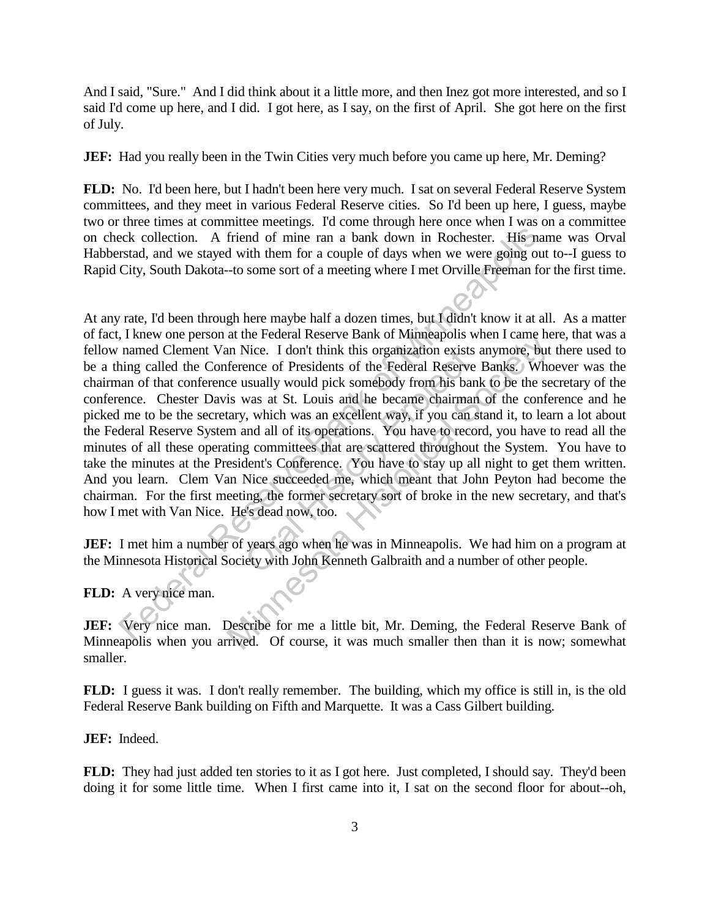And I said, "Sure." And I did think about it a little more, and then Inez got more interested, and so I said I'd come up here, and I did. I got here, as I say, on the first of April. She got here on the first of July.

**JEF:** Had you really been in the Twin Cities very much before you came up here, Mr. Deming?

**FLD:** No. I'd been here, but I hadn't been here very much. I sat on several Federal Reserve System committees, and they meet in various Federal Reserve cities. So I'd been up here, I guess, maybe two or three times at committee meetings. I'd come through here once when I was on a committee on check collection. A friend of mine ran a bank down in Rochester. His name was Orval Habberstad, and we stayed with them for a couple of days when we were going out to--I guess to Rapid City, South Dakota--to some sort of a meeting where I met Orville Freeman for the first time.

At any rate, I'd been through here maybe half a dozen times, but I didn't know it at all. As a matter of fact, I knew one person at the Federal Reserve Bank of Minneapolis when I came here, that was a fellow named Clement Van Nice. I don't think this organization exists anymore, but there used to be a thing called the Conference of Presidents of the Federal Reserve Banks. Whoever was the chairman of that conference usually would pick somebody from his bank to be the secretary of the conference. Chester Davis was at St. Louis and he became chairman of the conference and he picked me to be the secretary, which was an excellent way, if you can stand it, to learn a lot about the Federal Reserve System and all of its operations. You have to record, you have to read all the minutes of all these operating committees that are scattered throughout the System. You have to take the minutes at the President's Conference. You have to stay up all night to get them written. And you learn. Clem Van Nice succeeded me, which meant that John Peyton had become the chairman. For the first meeting, the former secretary sort of broke in the new secretary, and that's how I met with Van Nice. He's dead now, too. eck collection. A friend of mine ran a bank down in Rochester. His nandad, and we stayed with them for a couple of days when we were going oulcity, South Dakota-to some sort of a meeting where I met Orville Freeman for the Nice. I don't think this organization exists<br>ence of Presidents of the Federal Reserve<br>usually would pick somebody from his ban<br>was at St. Louis and he became chairman<br>, which was an excellent way, if you can s<br>and all of at the rederal Reserve Bank of Minneapolis when I came he<br>in Nice. I don't think this organization exists anymore, but<br>ference of Presidents of the Federal Reserve Banks. Who<br>ce usually would pick somebody from his bank to

**JEF:** I met him a number of years ago when he was in Minneapolis. We had him on a program at the Minnesota Historical Society with John Kenneth Galbraith and a number of other people.

**FLD:** A very nice man.

**JEF:** Very nice man. Describe for me a little bit, Mr. Deming, the Federal Reserve Bank of Minneapolis when you arrived. Of course, it was much smaller then than it is now; somewhat smaller.

**FLD:** I guess it was. I don't really remember. The building, which my office is still in, is the old Federal Reserve Bank building on Fifth and Marquette. It was a Cass Gilbert building.

**JEF:** Indeed.

**FLD:** They had just added ten stories to it as I got here. Just completed, I should say. They'd been doing it for some little time. When I first came into it, I sat on the second floor for about--oh,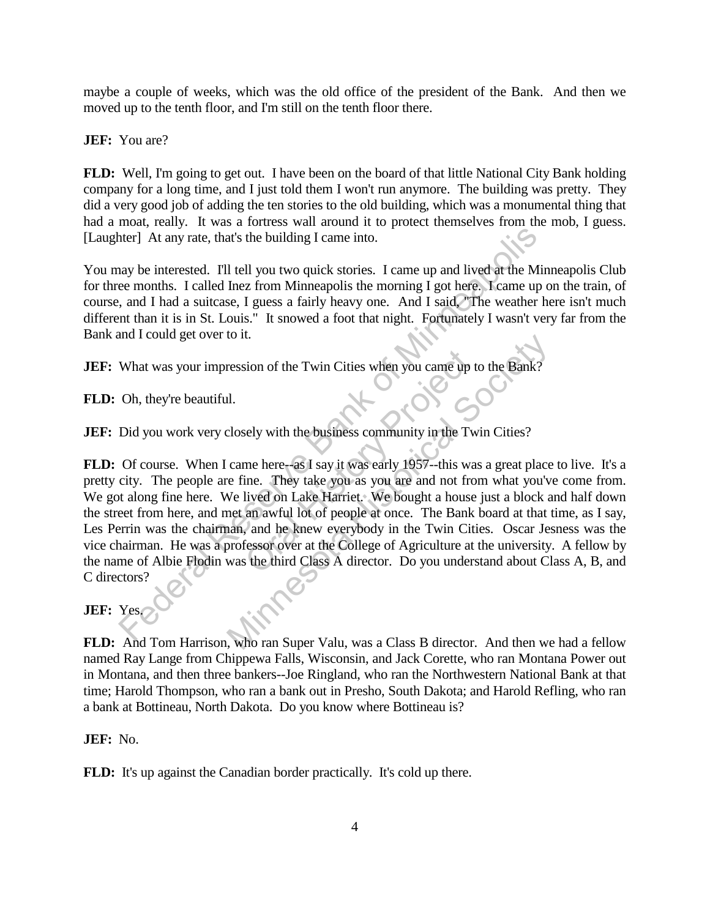maybe a couple of weeks, which was the old office of the president of the Bank. And then we moved up to the tenth floor, and I'm still on the tenth floor there.

**JEF:** You are?

**FLD:** Well, I'm going to get out. I have been on the board of that little National City Bank holding company for a long time, and I just told them I won't run anymore. The building was pretty. They did a very good job of adding the ten stories to the old building, which was a monumental thing that had a moat, really. It was a fortress wall around it to protect themselves from the mob, I guess. [Laughter] At any rate, that's the building I came into.

You may be interested. I'll tell you two quick stories. I came up and lived at the Minneapolis Club for three months. I called Inez from Minneapolis the morning I got here. I came up on the train, of course, and I had a suitcase, I guess a fairly heavy one. And I said, "The weather here isn't much different than it is in St. Louis." It snowed a foot that night. Fortunately I wasn't very far from the Bank and I could get over to it.

**JEF:** What was your impression of the Twin Cities when you came up to the Bank?

**FLD:** Oh, they're beautiful.

**JEF:** Did you work very closely with the business community in the Twin Cities?

**FLD:** Of course. When I came here--as I say it was early 1957--this was a great place to live. It's a pretty city. The people are fine. They take you as you are and not from what you've come from. We got along fine here. We lived on Lake Harriet. We bought a house just a block and half down the street from here, and met an awful lot of people at once. The Bank board at that time, as I say, Les Perrin was the chairman, and he knew everybody in the Twin Cities. Oscar Jesness was the vice chairman. He was a professor over at the College of Agriculture at the university. A fellow by the name of Albie Flodin was the third Class A director. Do you understand about Class A, B, and C directors? ther a At any rate, that's the building I came into.<br>
The same up and lived at the Minneapolis energy and lived at the Minneapolis energy and I had a suitcase, I guess a fairly heavy one. And I said The weather has the sui sion of the Twin Cities when you came up to<br>sely with the business community in the Tw<br>me here--as I say it was early 1957--this was<br>ine. They take you as you are and not fro<br>lived on Lake Harriet. We bought a house<br>an awf The Minnesota Control of the Twin Cities when you came up to the Bank?<br>
I.<br>
I.<br>
I.<br>
I. Closely with the business community in the Twin Cities?<br>
came here-as I say it was early 1957-this was a great place<br>
e fine. They take

## **JEF:** Yes.

**FLD:** And Tom Harrison, who ran Super Valu, was a Class B director. And then we had a fellow named Ray Lange from Chippewa Falls, Wisconsin, and Jack Corette, who ran Montana Power out in Montana, and then three bankers--Joe Ringland, who ran the Northwestern National Bank at that time; Harold Thompson, who ran a bank out in Presho, South Dakota; and Harold Refling, who ran a bank at Bottineau, North Dakota. Do you know where Bottineau is?

**JEF:** No.

**FLD:** It's up against the Canadian border practically. It's cold up there.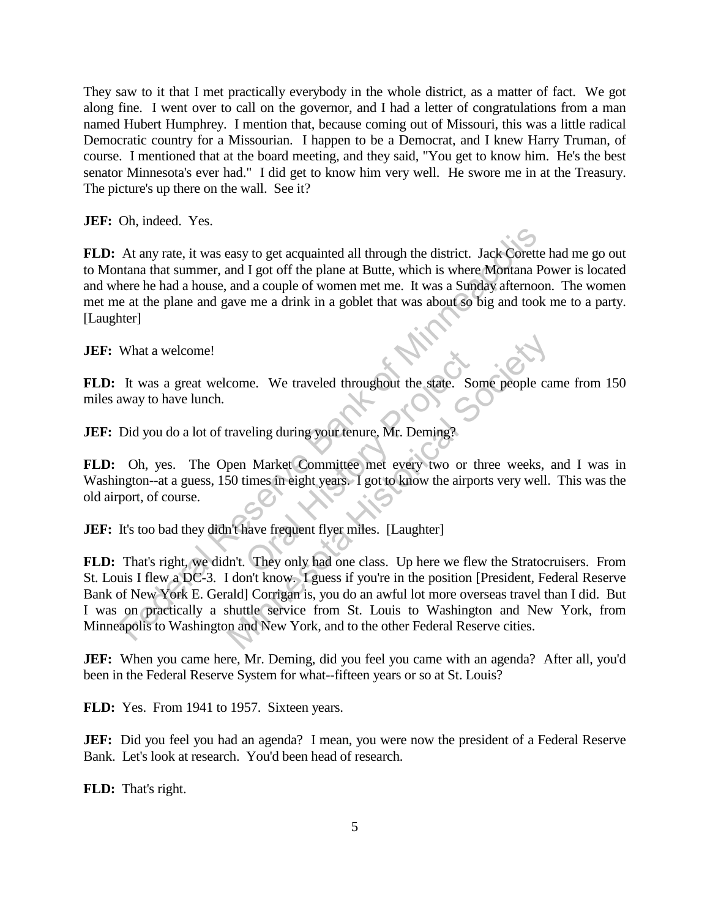They saw to it that I met practically everybody in the whole district, as a matter of fact. We got along fine. I went over to call on the governor, and I had a letter of congratulations from a man named Hubert Humphrey. I mention that, because coming out of Missouri, this was a little radical Democratic country for a Missourian. I happen to be a Democrat, and I knew Harry Truman, of course. I mentioned that at the board meeting, and they said, "You get to know him. He's the best senator Minnesota's ever had." I did get to know him very well. He swore me in at the Treasury. The picture's up there on the wall. See it?

**JEF:** Oh, indeed. Yes.

**FLD:** At any rate, it was easy to get acquainted all through the district. Jack Corette had me go out to Montana that summer, and I got off the plane at Butte, which is where Montana Power is located and where he had a house, and a couple of women met me. It was a Sunday afternoon. The women met me at the plane and gave me a drink in a goblet that was about so big and took me to a party. [Laughter] At any rate, it was easy to get acquainted all through the district. Jack Corette<br>thana a hat summer, and I got off the plane at Butte, which is where Montana Pe<br>here he had a house, and a couple of women met me. It was a

**JEF:** What a welcome!

**FLD:** It was a great welcome. We traveled throughout the state. Some people came from 150 miles away to have lunch.

**JEF:** Did you do a lot of traveling during your tenure, Mr. Deming?

**FLD:** Oh, yes. The Open Market Committee met every two or three weeks, and I was in Washington--at a guess, 150 times in eight years. I got to know the airports very well. This was the old airport, of course. me. We traveled throughout the state. So<br>
reling during your tenure, Mr. Deming?<br>
Market Committee met every two or the<br>
imes in eight years. I got to know the airpo<br>
rave frequent flyer miles. [Laughter]<br>
They only had on

**JEF:** It's too bad they didn't have frequent flyer miles. [Laughter]

**FLD:** That's right, we didn't. They only had one class. Up here we flew the Stratocruisers. From St. Louis I flew a DC-3. I don't know. I guess if you're in the position [President, Federal Reserve Bank of New York E. Gerald] Corrigan is, you do an awful lot more overseas travel than I did. But I was on practically a shuttle service from St. Louis to Washington and New York, from Minneapolis to Washington and New York, and to the other Federal Reserve cities. Fraction Comes We traveled throughout the state. Some people can altraveling during your tenure, Mr. Deming?<br>
pen Market Committee met every two or three weeks, as<br>
50 times in eight years. I got to know the airports very

**JEF:** When you came here, Mr. Deming, did you feel you came with an agenda? After all, you'd been in the Federal Reserve System for what--fifteen years or so at St. Louis?

FLD: Yes. From 1941 to 1957. Sixteen years.

**JEF:** Did you feel you had an agenda? I mean, you were now the president of a Federal Reserve Bank. Let's look at research. You'd been head of research.

**FLD:** That's right.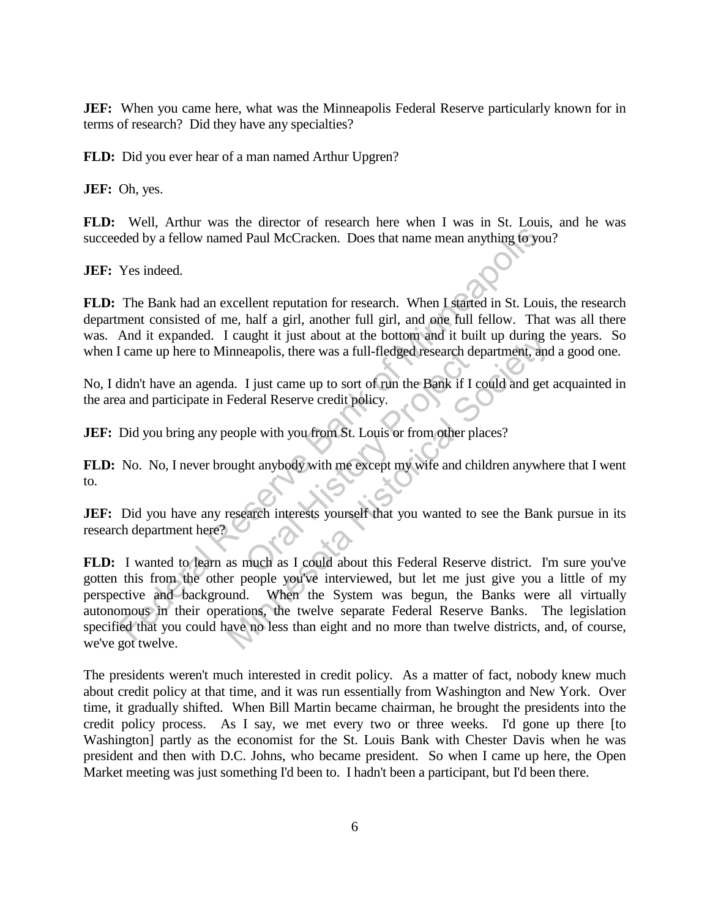**JEF:** When you came here, what was the Minneapolis Federal Reserve particularly known for in terms of research? Did they have any specialties?

**FLD:** Did you ever hear of a man named Arthur Upgren?

**JEF:** Oh, yes.

**FLD:** Well, Arthur was the director of research here when I was in St. Louis, and he was succeeded by a fellow named Paul McCracken. Does that name mean anything to you?

**JEF:** Yes indeed.

**FLD:** The Bank had an excellent reputation for research. When I started in St. Louis, the research department consisted of me, half a girl, another full girl, and one full fellow. That was all there was. And it expanded. I caught it just about at the bottom and it built up during the years. So when I came up here to Minneapolis, there was a full-fledged research department, and a good one.

No, I didn't have an agenda. I just came up to sort of run the Bank if I could and get acquainted in the area and participate in Federal Reserve credit policy.

**JEF:** Did you bring any people with you from St. Louis or from other places?

**FLD:** No. No, I never brought anybody with me except my wife and children anywhere that I went to. eapolis, there was a full-fledged research de<br>
I just came up to sort of run the Bank if I deral Reserve credit policy.<br>
Dele with you from St. Louis or from other pl<br>
ht anybody with me except my wife and ch<br>
carch intere

**JEF:** Did you have any research interests yourself that you wanted to see the Bank pursue in its research department here?

**FLD:** I wanted to learn as much as I could about this Federal Reserve district. I'm sure you've gotten this from the other people you've interviewed, but let me just give you a little of my perspective and background. When the System was begun, the Banks were all virtually autonomous in their operations, the twelve separate Federal Reserve Banks. The legislation specified that you could have no less than eight and no more than twelve districts, and, of course, we've got twelve. ded by a fellow named Paul McCracken. Does that name mean anything to youthout the Bank had an excellent reputation for research. When I started in St. Louisment consisted of me, half a girl, another full girl, and one ful Caught It just about at the bottom and it built up during the diameterion increases a full-fledged research department, and<br>a. I just came up to sort of run the Bank if I could and get<br>Federal Reserve credit policy.<br>eople

The presidents weren't much interested in credit policy. As a matter of fact, nobody knew much about credit policy at that time, and it was run essentially from Washington and New York. Over time, it gradually shifted. When Bill Martin became chairman, he brought the presidents into the credit policy process. As I say, we met every two or three weeks. I'd gone up there [to Washington] partly as the economist for the St. Louis Bank with Chester Davis when he was president and then with D.C. Johns, who became president. So when I came up here, the Open Market meeting was just something I'd been to. I hadn't been a participant, but I'd been there.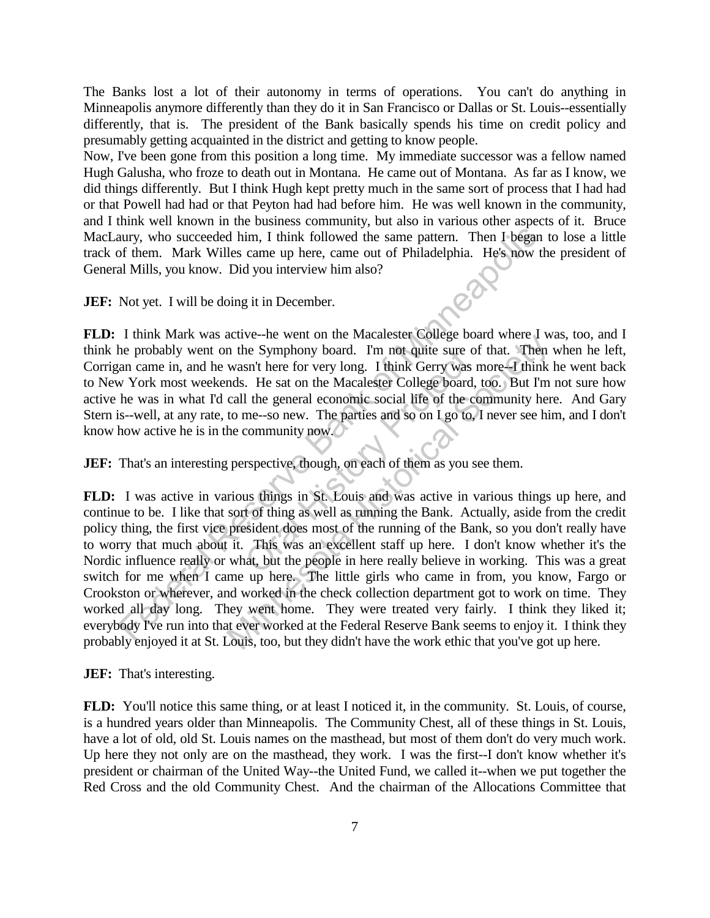The Banks lost a lot of their autonomy in terms of operations. You can't do anything in Minneapolis anymore differently than they do it in San Francisco or Dallas or St. Louis--essentially differently, that is. The president of the Bank basically spends his time on credit policy and presumably getting acquainted in the district and getting to know people.

Now, I've been gone from this position a long time. My immediate successor was a fellow named Hugh Galusha, who froze to death out in Montana. He came out of Montana. As far as I know, we did things differently. But I think Hugh kept pretty much in the same sort of process that I had had or that Powell had had or that Peyton had had before him. He was well known in the community, and I think well known in the business community, but also in various other aspects of it. Bruce MacLaury, who succeeded him, I think followed the same pattern. Then I began to lose a little track of them. Mark Willes came up here, came out of Philadelphia. He's now the president of General Mills, you know. Did you interview him also?

**JEF:** Not yet. I will be doing it in December.

**FLD:** I think Mark was active--he went on the Macalester College board where I was, too, and I think he probably went on the Symphony board. I'm not quite sure of that. Then when he left, Corrigan came in, and he wasn't here for very long. I think Gerry was more--I think he went back to New York most weekends. He sat on the Macalester College board, too. But I'm not sure how active he was in what I'd call the general economic social life of the community here. And Gary Stern is--well, at any rate, to me--so new. The parties and so on I go to, I never see him, and I don't know how active he is in the community now. The Symphony board. I'm not quite sure of<br>sn't here for very long. I think Gerry was a<br>. He sat on the Macalester College board,<br>the general economic social life of the co<br>me--so new. The parties and so on I go to,<br>communi

**JEF:** That's an interesting perspective, though, on each of them as you see them.

**FLD:** I was active in various things in St. Louis and was active in various things up here, and continue to be. I like that sort of thing as well as running the Bank. Actually, aside from the credit policy thing, the first vice president does most of the running of the Bank, so you don't really have to worry that much about it. This was an excellent staff up here. I don't know whether it's the Nordic influence really or what, but the people in here really believe in working. This was a great switch for me when I came up here. The little girls who came in from, you know, Fargo or Crookston or wherever, and worked in the check collection department got to work on time. They worked all day long. They went home. They were treated very fairly. I think they liked it; everybody I've run into that ever worked at the Federal Reserve Bank seems to enjoy it. I think they probably enjoyed it at St. Louis, too, but they didn't have the work ethic that you've got up here. at the served of the served be the served of the served of the served at the Pedral Reserve Bank served at the Hindeely of Nilakiyou Know. Did you interview him also?<br>
Not yet. I will be doing it in December.<br>
Think Mark w active--ne went of the Macatester College board where I wis the Symphony board. I'm not quite sure of that. Then was more--I think Gerry was more--I think Mas. He sat on the Macatester College board, too. But I'm call the

**JEF:** That's interesting.

**FLD:** You'll notice this same thing, or at least I noticed it, in the community. St. Louis, of course, is a hundred years older than Minneapolis. The Community Chest, all of these things in St. Louis, have a lot of old, old St. Louis names on the masthead, but most of them don't do very much work. Up here they not only are on the masthead, they work. I was the first--I don't know whether it's president or chairman of the United Way--the United Fund, we called it--when we put together the Red Cross and the old Community Chest. And the chairman of the Allocations Committee that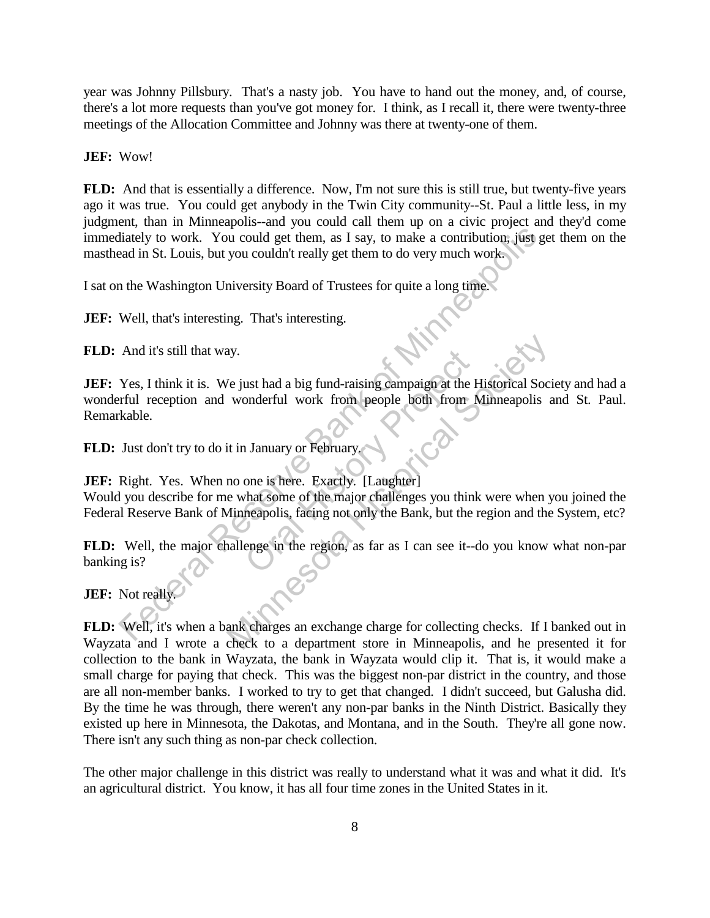year was Johnny Pillsbury. That's a nasty job. You have to hand out the money, and, of course, there's a lot more requests than you've got money for. I think, as I recall it, there were twenty-three meetings of the Allocation Committee and Johnny was there at twenty-one of them.

**JEF:** Wow!

**FLD:** And that is essentially a difference. Now, I'm not sure this is still true, but twenty-five years ago it was true. You could get anybody in the Twin City community--St. Paul a little less, in my judgment, than in Minneapolis--and you could call them up on a civic project and they'd come immediately to work. You could get them, as I say, to make a contribution, just get them on the masthead in St. Louis, but you couldn't really get them to do very much work.

I sat on the Washington University Board of Trustees for quite a long time.

**JEF:** Well, that's interesting. That's interesting.

**FLD:** And it's still that way.

**JEF:** Yes, I think it is. We just had a big fund-raising campaign at the Historical Society and had a wonderful reception and wonderful work from people both from Minneapolis and St. Paul. Remarkable. Federal Reserve Bank of Minneapolis, facing not only the Bank of realistic state in the Washington University Board of Trustees for quite a long time.<br>
Well, that's interesting. That's interesting.<br>
Well, that's interestin It work from people both from Number<br>Or and Historical Work from people both from Number<br>of the fractly.<br>That some of the major challenges you think<br>meapolis, facing not only the Bank, but the reader in the region, as far Manusian Comparison and the Historical Society<br>
Me just had a big fund-raising campaign at the Historical Society<br>
wonderful work from people both from Minneapolis<br>
it in January or February.<br>
In the Manusian Society. [Lau

**FLD:** Just don't try to do it in January or February.

**JEF:** Right. Yes. When no one is here. Exactly. [Laughter]

Would you describe for me what some of the major challenges you think were when you joined the Federal Reserve Bank of Minneapolis, facing not only the Bank, but the region and the System, etc?

**FLD:** Well, the major challenge in the region, as far as I can see it--do you know what non-par banking is?

**JEF:** Not really.

**FLD:** Well, it's when a bank charges an exchange charge for collecting checks. If I banked out in Wayzata and I wrote a check to a department store in Minneapolis, and he presented it for collection to the bank in Wayzata, the bank in Wayzata would clip it. That is, it would make a small charge for paying that check. This was the biggest non-par district in the country, and those are all non-member banks. I worked to try to get that changed. I didn't succeed, but Galusha did. By the time he was through, there weren't any non-par banks in the Ninth District. Basically they existed up here in Minnesota, the Dakotas, and Montana, and in the South. They're all gone now. There isn't any such thing as non-par check collection.

The other major challenge in this district was really to understand what it was and what it did. It's an agricultural district. You know, it has all four time zones in the United States in it.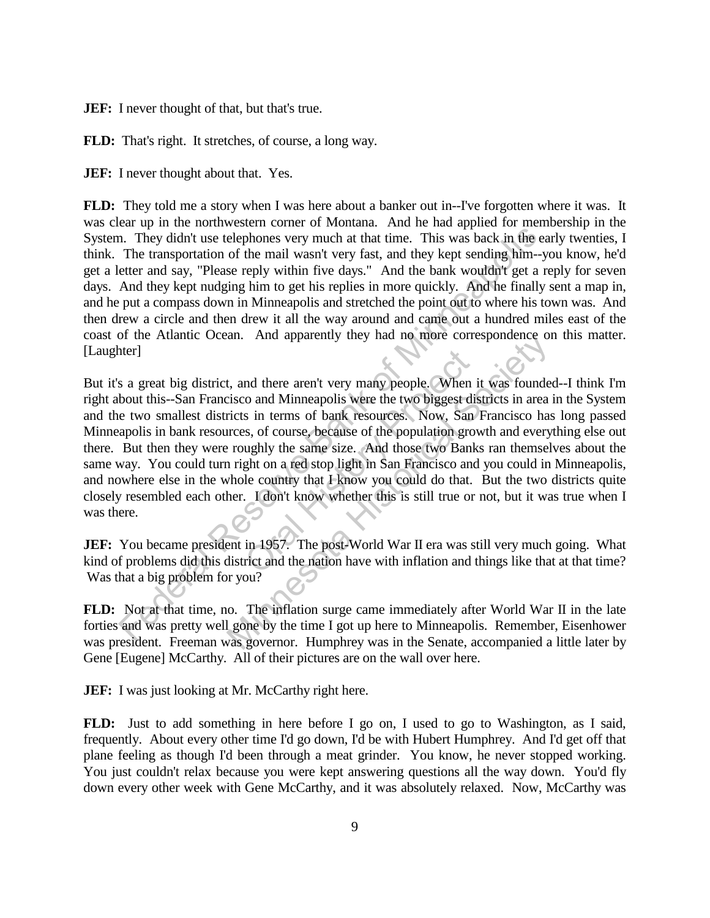**JEF:** I never thought of that, but that's true.

**FLD:** That's right. It stretches, of course, a long way.

**JEF:** I never thought about that. Yes.

**FLD:** They told me a story when I was here about a banker out in--I've forgotten where it was. It was clear up in the northwestern corner of Montana. And he had applied for membership in the System. They didn't use telephones very much at that time. This was back in the early twenties, I think. The transportation of the mail wasn't very fast, and they kept sending him--you know, he'd get a letter and say, "Please reply within five days." And the bank wouldn't get a reply for seven days. And they kept nudging him to get his replies in more quickly. And he finally sent a map in, and he put a compass down in Minneapolis and stretched the point out to where his town was. And then drew a circle and then drew it all the way around and came out a hundred miles east of the coast of the Atlantic Ocean. And apparently they had no more correspondence on this matter. [Laughter]

But it's a great big district, and there aren't very many people. When it was founded--I think I'm right about this--San Francisco and Minneapolis were the two biggest districts in area in the System and the two smallest districts in terms of bank resources. Now, San Francisco has long passed Minneapolis in bank resources, of course, because of the population growth and everything else out there. But then they were roughly the same size. And those two Banks ran themselves about the same way. You could turn right on a red stop light in San Francisco and you could in Minneapolis, and nowhere else in the whole country that I know you could do that. But the two districts quite closely resembled each other. I don't know whether this is still true or not, but it was true when I was there. In. They didn't use telephones very much at that time. This was back in the effect and any, "Please reply within five days." And they kept sending him-yetter and any, "Please reply within five days." And the bank wouldn't nd there aren't very many people. When is<br>the and Minneapolis were the two biggest dis<br>s in terms of bank resources. Now, San<br>s, of course, because of the population grow<br>ughly the same size. And those two Bank<br>ght on a re an. And apparently they had no more correspondence of<br>the than there aren't very many people. When it was founde<br>isco and Minneapolis were the two biggest districts in area<br>inces, of course, because of the population growt

**JEF:** You became president in 1957. The post-World War II era was still very much going. What kind of problems did this district and the nation have with inflation and things like that at that time? Was that a big problem for you?

**FLD:** Not at that time, no. The inflation surge came immediately after World War II in the late forties and was pretty well gone by the time I got up here to Minneapolis. Remember, Eisenhower was president. Freeman was governor. Humphrey was in the Senate, accompanied a little later by Gene [Eugene] McCarthy. All of their pictures are on the wall over here.

**JEF:** I was just looking at Mr. McCarthy right here.

**FLD:** Just to add something in here before I go on, I used to go to Washington, as I said, frequently. About every other time I'd go down, I'd be with Hubert Humphrey. And I'd get off that plane feeling as though I'd been through a meat grinder. You know, he never stopped working. You just couldn't relax because you were kept answering questions all the way down. You'd fly down every other week with Gene McCarthy, and it was absolutely relaxed. Now, McCarthy was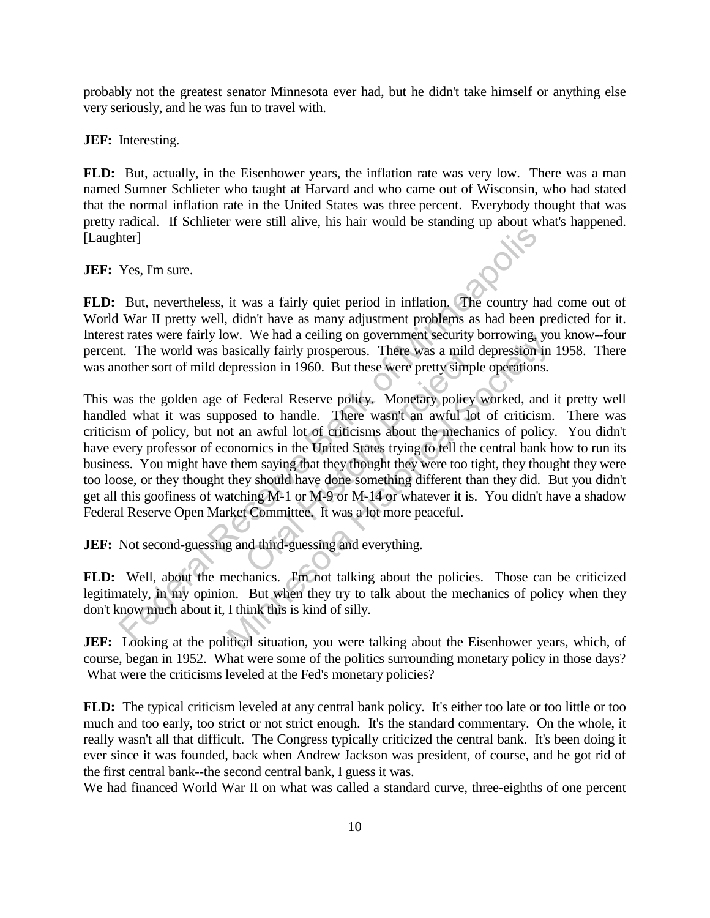probably not the greatest senator Minnesota ever had, but he didn't take himself or anything else very seriously, and he was fun to travel with.

**JEF:** Interesting.

**FLD:** But, actually, in the Eisenhower years, the inflation rate was very low. There was a man named Sumner Schlieter who taught at Harvard and who came out of Wisconsin, who had stated that the normal inflation rate in the United States was three percent. Everybody thought that was pretty radical. If Schlieter were still alive, his hair would be standing up about what's happened. [Laughter]

**JEF:** Yes, I'm sure.

**FLD:** But, nevertheless, it was a fairly quiet period in inflation. The country had come out of World War II pretty well, didn't have as many adjustment problems as had been predicted for it. Interest rates were fairly low. We had a ceiling on government security borrowing, you know--four percent. The world was basically fairly prosperous. There was a mild depression in 1958. There was another sort of mild depression in 1960. But these were pretty simple operations.

This was the golden age of Federal Reserve policy. Monetary policy worked, and it pretty well handled what it was supposed to handle. There wasn't an awful lot of criticism. There was criticism of policy, but not an awful lot of criticisms about the mechanics of policy. You didn't have every professor of economics in the United States trying to tell the central bank how to run its business. You might have them saying that they thought they were too tight, they thought they were too loose, or they thought they should have done something different than they did. But you didn't get all this goofiness of watching M-1 or M-9 or M-14 or whatever it is. You didn't have a shadow Federal Reserve Open Market Committee. It was a lot more peaceful. The Section of the method is the prother of the method in the method was I and the method was I and the trans were fairly bow. We had a celling on government security borrowing, y at It preserve for the was a matter than t cally farrly prosperous. There was a mild<br>ession in 1960. But these were pretty simpl<br>Federal Reserve policy. Monetary policy<br>ed to handle. There wasn't an awful lot<br>n awful lot of criticisms about the mecha<br>omics in the U w. We had a centry on government security borrowing, yo<br>assically fairly prosperous. There was a mild depression in<br>epression in 1960. But these were pretty simple operations.<br>of Federal Reserve policy. Monetary policy wor

**JEF:** Not second-guessing and third-guessing and everything.

**FLD:** Well, about the mechanics. I'm not talking about the policies. Those can be criticized legitimately, in my opinion. But when they try to talk about the mechanics of policy when they don't know much about it, I think this is kind of silly.

**JEF:** Looking at the political situation, you were talking about the Eisenhower years, which, of course, began in 1952. What were some of the politics surrounding monetary policy in those days? What were the criticisms leveled at the Fed's monetary policies?

**FLD:** The typical criticism leveled at any central bank policy. It's either too late or too little or too much and too early, too strict or not strict enough. It's the standard commentary. On the whole, it really wasn't all that difficult. The Congress typically criticized the central bank. It's been doing it ever since it was founded, back when Andrew Jackson was president, of course, and he got rid of the first central bank--the second central bank, I guess it was.

We had financed World War II on what was called a standard curve, three-eighths of one percent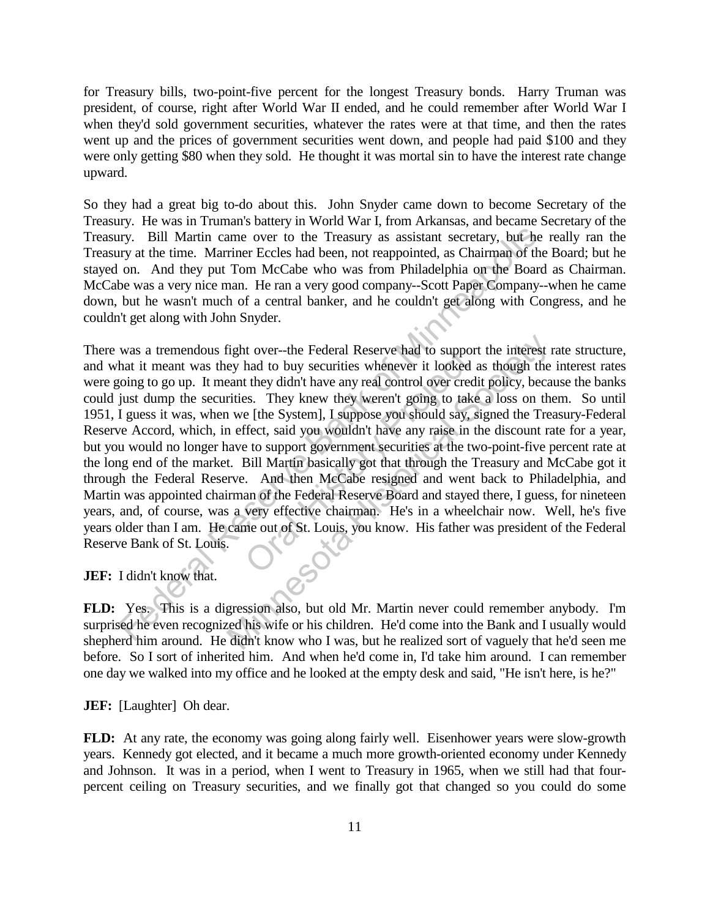for Treasury bills, two-point-five percent for the longest Treasury bonds. Harry Truman was president, of course, right after World War II ended, and he could remember after World War I when they'd sold government securities, whatever the rates were at that time, and then the rates went up and the prices of government securities went down, and people had paid \$100 and they were only getting \$80 when they sold. He thought it was mortal sin to have the interest rate change upward.

So they had a great big to-do about this. John Snyder came down to become Secretary of the Treasury. He was in Truman's battery in World War I, from Arkansas, and became Secretary of the Treasury. Bill Martin came over to the Treasury as assistant secretary, but he really ran the Treasury at the time. Marriner Eccles had been, not reappointed, as Chairman of the Board; but he stayed on. And they put Tom McCabe who was from Philadelphia on the Board as Chairman. McCabe was a very nice man. He ran a very good company--Scott Paper Company--when he came down, but he wasn't much of a central banker, and he couldn't get along with Congress, and he couldn't get along with John Snyder.

There was a tremendous fight over--the Federal Reserve had to support the interest rate structure, and what it meant was they had to buy securities whenever it looked as though the interest rates were going to go up. It meant they didn't have any real control over credit policy, because the banks could just dump the securities. They knew they weren't going to take a loss on them. So until 1951, I guess it was, when we [the System], I suppose you should say, signed the Treasury-Federal Reserve Accord, which, in effect, said you wouldn't have any raise in the discount rate for a year, but you would no longer have to support government securities at the two-point-five percent rate at the long end of the market. Bill Martin basically got that through the Treasury and McCabe got it through the Federal Reserve. And then McCabe resigned and went back to Philadelphia, and Martin was appointed chairman of the Federal Reserve Board and stayed there, I guess, for nineteen years, and, of course, was a very effective chairman. He's in a wheelchair now. Well, he's five years older than I am. He came out of St. Louis, you know. His father was president of the Federal Reserve Bank of St. Louis. Figure 1.1 The Minne move to the Treasury as assistant secretary, but he<br>sign at the time. Minner Ecceles had been, not reappointed, as Chairman of the<br>on. And they put Tom McCabe who was from Philadelphia on the Board<br>be It over--the Federal Reserve had to support<br>had to buy securities whenever it looked at<br>they didn't have any real control over credis.<br>They knew they weren't going to take<br>e [the System], I suppose you should say, s<br>ffect, Trajabit over--the Federal Reserve had to support the interest ey had to buy securities whenever it looked as though the eant they didn't have any real control over credit policy, because the System and they weren't going

**JEF:** I didn't know that.

**FLD:** Yes. This is a digression also, but old Mr. Martin never could remember anybody. I'm surprised he even recognized his wife or his children. He'd come into the Bank and I usually would shepherd him around. He didn't know who I was, but he realized sort of vaguely that he'd seen me before. So I sort of inherited him. And when he'd come in, I'd take him around. I can remember one day we walked into my office and he looked at the empty desk and said, "He isn't here, is he?"

**JEF:** [Laughter] Oh dear.

**FLD:** At any rate, the economy was going along fairly well. Eisenhower years were slow-growth years. Kennedy got elected, and it became a much more growth-oriented economy under Kennedy and Johnson. It was in a period, when I went to Treasury in 1965, when we still had that fourpercent ceiling on Treasury securities, and we finally got that changed so you could do some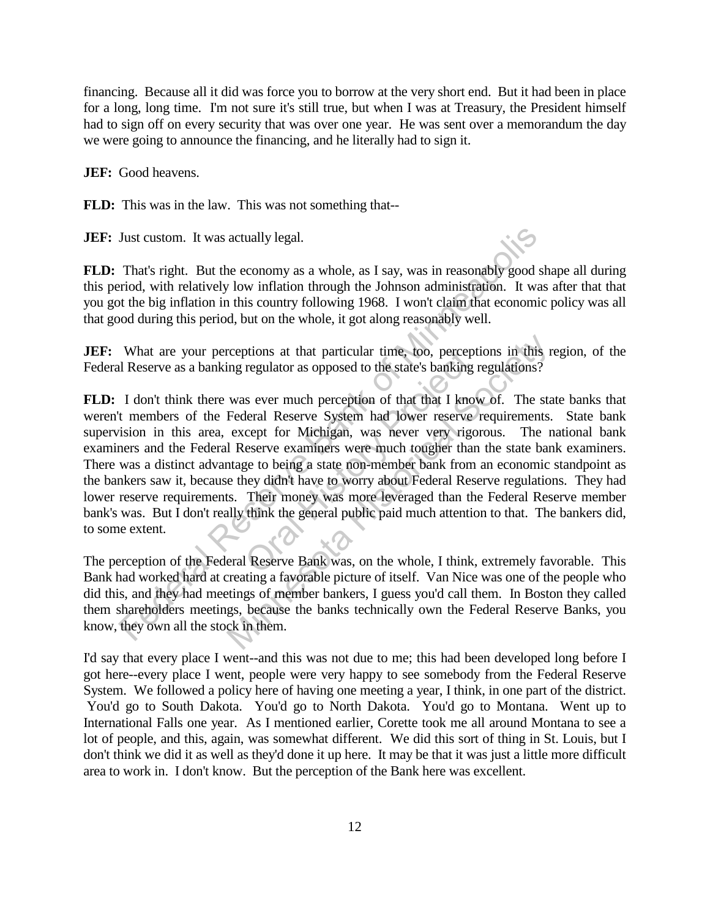financing. Because all it did was force you to borrow at the very short end. But it had been in place for a long, long time. I'm not sure it's still true, but when I was at Treasury, the President himself had to sign off on every security that was over one year. He was sent over a memorandum the day we were going to announce the financing, and he literally had to sign it.

**JEF:** Good heavens.

**FLD:** This was in the law. This was not something that--

**JEF:** Just custom. It was actually legal.

**FLD:** That's right. But the economy as a whole, as I say, was in reasonably good shape all during this period, with relatively low inflation through the Johnson administration. It was after that that you got the big inflation in this country following 1968. I won't claim that economic policy was all that good during this period, but on the whole, it got along reasonably well.

**JEF:** What are your perceptions at that particular time, too, perceptions in this region, of the Federal Reserve as a banking regulator as opposed to the state's banking regulations?

**FLD:** I don't think there was ever much perception of that that I know of. The state banks that weren't members of the Federal Reserve System had lower reserve requirements. State bank supervision in this area, except for Michigan, was never very rigorous. The national bank examiners and the Federal Reserve examiners were much tougher than the state bank examiners. There was a distinct advantage to being a state non-member bank from an economic standpoint as the bankers saw it, because they didn't have to worry about Federal Reserve regulations. They had lower reserve requirements. Their money was more leveraged than the Federal Reserve member bank's was. But I don't really think the general public paid much attention to that. The bankers did, to some extent. Just custom. It was actually legal.<br>
That's right. But the economy as a whole, as I say, was in reasonably good shriod, with relatively low inflation through the Johnson administration. It was the big inflation in this cou between that particular time, too, percept<br>regulator as opposed to the state's banking is<br>sever much perception of that that I know<br>leral Reserve System had lower reserve<br>cept for Michigan, was never very rigo<br>eserve exami rceptions at that particular time, too, perceptions in this ring regulator as opposed to the state's banking regulations?<br>
was ever much perception of that that I know of. The stated Federal Reserve System had lower reserv

The perception of the Federal Reserve Bank was, on the whole, I think, extremely favorable. This Bank had worked hard at creating a favorable picture of itself. Van Nice was one of the people who did this, and they had meetings of member bankers, I guess you'd call them. In Boston they called them shareholders meetings, because the banks technically own the Federal Reserve Banks, you know, they own all the stock in them.

I'd say that every place I went--and this was not due to me; this had been developed long before I got here--every place I went, people were very happy to see somebody from the Federal Reserve System. We followed a policy here of having one meeting a year, I think, in one part of the district. You'd go to South Dakota. You'd go to North Dakota. You'd go to Montana. Went up to International Falls one year. As I mentioned earlier, Corette took me all around Montana to see a lot of people, and this, again, was somewhat different. We did this sort of thing in St. Louis, but I don't think we did it as well as they'd done it up here. It may be that it was just a little more difficult area to work in. I don't know. But the perception of the Bank here was excellent.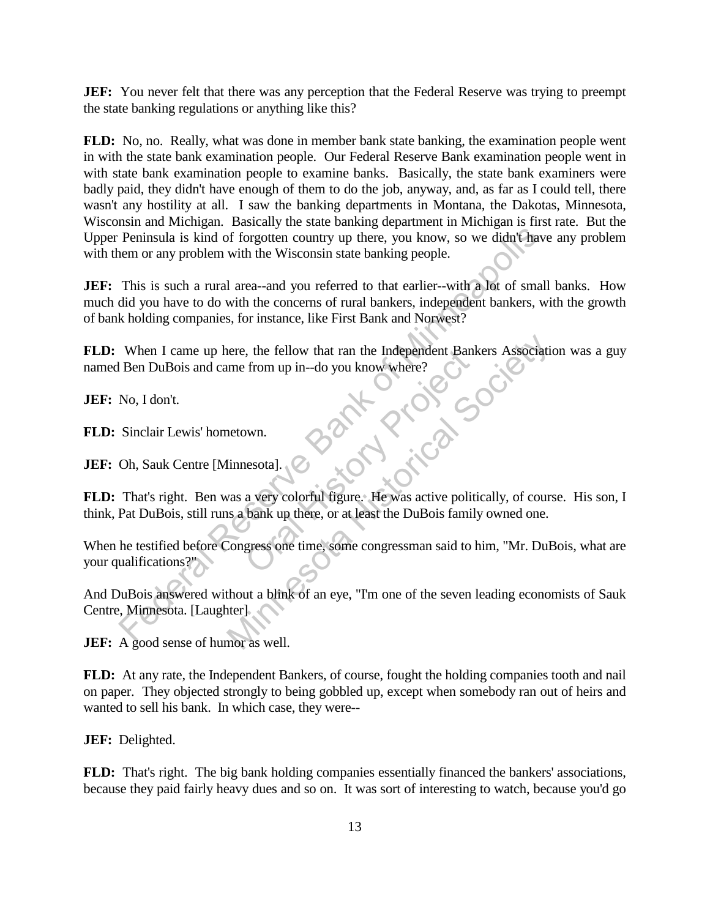**JEF:** You never felt that there was any perception that the Federal Reserve was trying to preempt the state banking regulations or anything like this?

**FLD:** No, no. Really, what was done in member bank state banking, the examination people went in with the state bank examination people. Our Federal Reserve Bank examination people went in with state bank examination people to examine banks. Basically, the state bank examiners were badly paid, they didn't have enough of them to do the job, anyway, and, as far as I could tell, there wasn't any hostility at all. I saw the banking departments in Montana, the Dakotas, Minnesota, Wisconsin and Michigan. Basically the state banking department in Michigan is first rate. But the Upper Peninsula is kind of forgotten country up there, you know, so we didn't have any problem with them or any problem with the Wisconsin state banking people.

**JEF:** This is such a rural area--and you referred to that earlier--with a lot of small banks. How much did you have to do with the concerns of rural bankers, independent bankers, with the growth of bank holding companies, for instance, like First Bank and Norwest? Peninsula is kind of forgotten country up there, you know, so we didn't have<br>nen or any problem with the Wisconsin state banking people.<br>This is such a rural area--and you referred to that earlier--with a lot of small<br>did

**FLD:** When I came up here, the fellow that ran the Independent Bankers Association was a guy named Ben DuBois and came from up in--do you know where?

**JEF:** No, I don't.

**FLD:** Sinclair Lewis' hometown.

**JEF:** Oh, Sauk Centre [Minnesota].

**FLD:** That's right. Ben was a very colorful figure. He was active politically, of course. His son, I think, Pat DuBois, still runs a bank up there, or at least the DuBois family owned one. From up in--do you know where?<br>
Now where?<br>
Now use the project of the section of the section of the section of the section of the section of the section of the pullber of the pullber of the pullber of the pullber of the p France, the fellow that ran the Independent Bankers Association<br>therefore up in--do you know where?<br>Alternative metric of the society of course a very colorful figure. He was active politically, of cours<br>as a bank up there

When he testified before Congress one time, some congressman said to him, "Mr. DuBois, what are your qualifications?"

And DuBois answered without a blink of an eye, "I'm one of the seven leading economists of Sauk Centre, Minnesota. [Laughter]

**JEF:** A good sense of humor as well.

**FLD:** At any rate, the Independent Bankers, of course, fought the holding companies tooth and nail on paper. They objected strongly to being gobbled up, except when somebody ran out of heirs and wanted to sell his bank. In which case, they were--

**JEF:** Delighted.

**FLD:** That's right. The big bank holding companies essentially financed the bankers' associations, because they paid fairly heavy dues and so on. It was sort of interesting to watch, because you'd go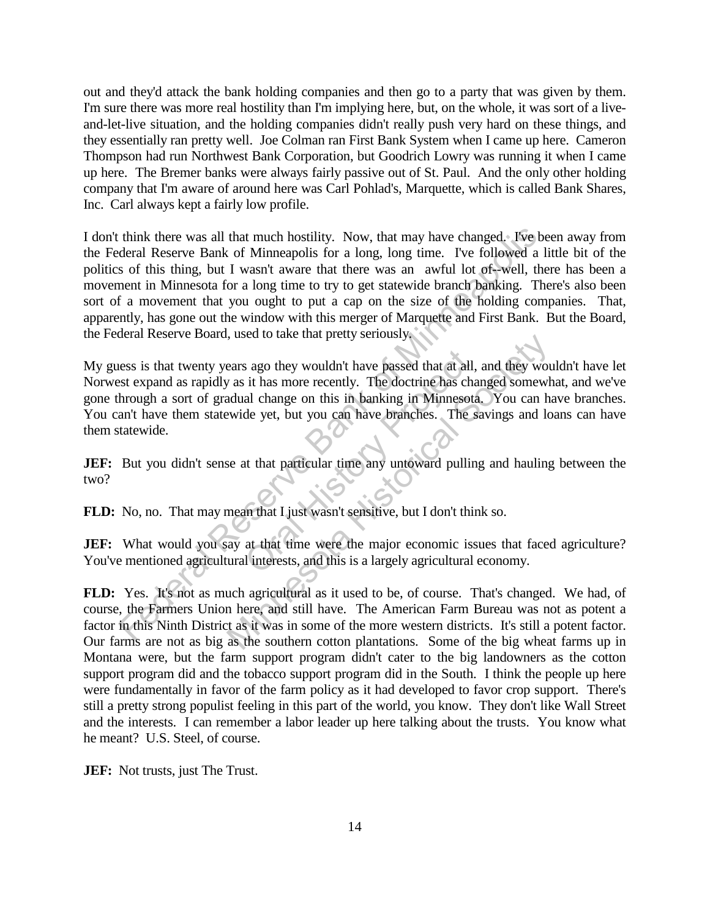out and they'd attack the bank holding companies and then go to a party that was given by them. I'm sure there was more real hostility than I'm implying here, but, on the whole, it was sort of a liveand-let-live situation, and the holding companies didn't really push very hard on these things, and they essentially ran pretty well. Joe Colman ran First Bank System when I came up here. Cameron Thompson had run Northwest Bank Corporation, but Goodrich Lowry was running it when I came up here. The Bremer banks were always fairly passive out of St. Paul. And the only other holding company that I'm aware of around here was Carl Pohlad's, Marquette, which is called Bank Shares, Inc. Carl always kept a fairly low profile.

I don't think there was all that much hostility. Now, that may have changed. I've been away from the Federal Reserve Bank of Minneapolis for a long, long time. I've followed a little bit of the politics of this thing, but I wasn't aware that there was an awful lot of--well, there has been a movement in Minnesota for a long time to try to get statewide branch banking. There's also been sort of a movement that you ought to put a cap on the size of the holding companies. That, apparently, has gone out the window with this merger of Marquette and First Bank. But the Board, the Federal Reserve Board, used to take that pretty seriously. think there was all that much hostility. Now, that may have changed. Ive be the rall Reserve Bank of Minneapolis for a long, long time. I've followed a 1 so so for this thing, but I wasn't aware that there was an awful lot

My guess is that twenty years ago they wouldn't have passed that at all, and they wouldn't have let Norwest expand as rapidly as it has more recently. The doctrine has changed somewhat, and we've gone through a sort of gradual change on this in banking in Minnesota. You can have branches. You can't have them statewide yet, but you can have branches. The savings and loans can have them statewide. s ago they wouldn't have passed that at all,<br>it has more recently. The doctrine has chal<br>al change on this in banking in Minnesota<br>de yet, but you can have branches. The s<br>is that particular time any untoward pullin<br>in tha All the mean that prefixed that at all, and they would a change on this in banking in Minnesota. You can have wide yet, but you can have branches. The savings and lot wide yet, but you can have branches. The savings and lo

**JEF:** But you didn't sense at that particular time any untoward pulling and hauling between the two?

**FLD:** No, no. That may mean that I just wasn't sensitive, but I don't think so.

**JEF:** What would you say at that time were the major economic issues that faced agriculture? You've mentioned agricultural interests, and this is a largely agricultural economy.

**FLD:** Yes. It's not as much agricultural as it used to be, of course. That's changed. We had, of course, the Farmers Union here, and still have. The American Farm Bureau was not as potent a factor in this Ninth District as it was in some of the more western districts. It's still a potent factor. Our farms are not as big as the southern cotton plantations. Some of the big wheat farms up in Montana were, but the farm support program didn't cater to the big landowners as the cotton support program did and the tobacco support program did in the South. I think the people up here were fundamentally in favor of the farm policy as it had developed to favor crop support. There's still a pretty strong populist feeling in this part of the world, you know. They don't like Wall Street and the interests. I can remember a labor leader up here talking about the trusts. You know what he meant? U.S. Steel, of course.

**JEF:** Not trusts, just The Trust.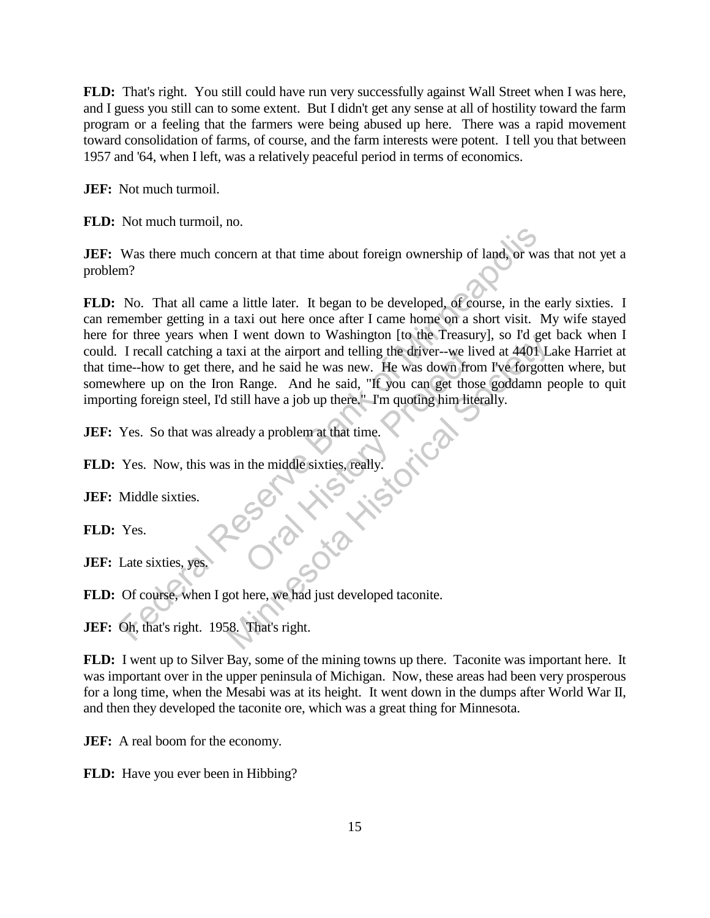**FLD:** That's right. You still could have run very successfully against Wall Street when I was here, and I guess you still can to some extent. But I didn't get any sense at all of hostility toward the farm program or a feeling that the farmers were being abused up here. There was a rapid movement toward consolidation of farms, of course, and the farm interests were potent. I tell you that between 1957 and '64, when I left, was a relatively peaceful period in terms of economics.

**JEF:** Not much turmoil.

**FLD:** Not much turmoil, no.

**JEF:** Was there much concern at that time about foreign ownership of land, or was that not yet a problem?

**FLD:** No. That all came a little later. It began to be developed, of course, in the early sixties. I can remember getting in a taxi out here once after I came home on a short visit. My wife stayed here for three years when I went down to Washington [to the Treasury], so I'd get back when I could. I recall catching a taxi at the airport and telling the driver--we lived at 4401 Lake Harriet at that time--how to get there, and he said he was new. He was down from I've forgotten where, but somewhere up on the Iron Range. And he said, "If you can get those goddamn people to quit importing foreign steel, I'd still have a job up there." I'm quoting him literally. Was there much concern at that time about foreign ownership of land, or was<br>
m?<br>
No. That all came a little later. It began to be developed, of course, in the member getting in a taxi out here once after I came home on a i at the airport and telling the driver--we lived he said he was new. He was down from<br>Range. And he said, "If you can get those a job up there." I'm quoting him lite<br>dy a problem at that time.<br>the middle sixties, really. The the airport and telling the driver-we lived at 4401 L<br>taxi at the airport and telling the driver-we lived at 4401 L<br>e, and he said, "If you can get those goddamn p<br>still have a job up there." I'm quoting him literally.

**JEF:** Yes. So that was already a problem at that time.

FLD: Yes. Now, this was in the middle sixties, really.

**JEF:** Middle sixties.

**FLD:** Yes.

**JEF:** Late sixties, yes.

**FLD:** Of course, when I got here, we had just developed taconite.

**JEF:** Oh, that's right. 1958. That's right.

**FLD:** I went up to Silver Bay, some of the mining towns up there. Taconite was important here. It was important over in the upper peninsula of Michigan. Now, these areas had been very prosperous for a long time, when the Mesabi was at its height. It went down in the dumps after World War II, and then they developed the taconite ore, which was a great thing for Minnesota.

**JEF:** A real boom for the economy.

**FLD:** Have you ever been in Hibbing?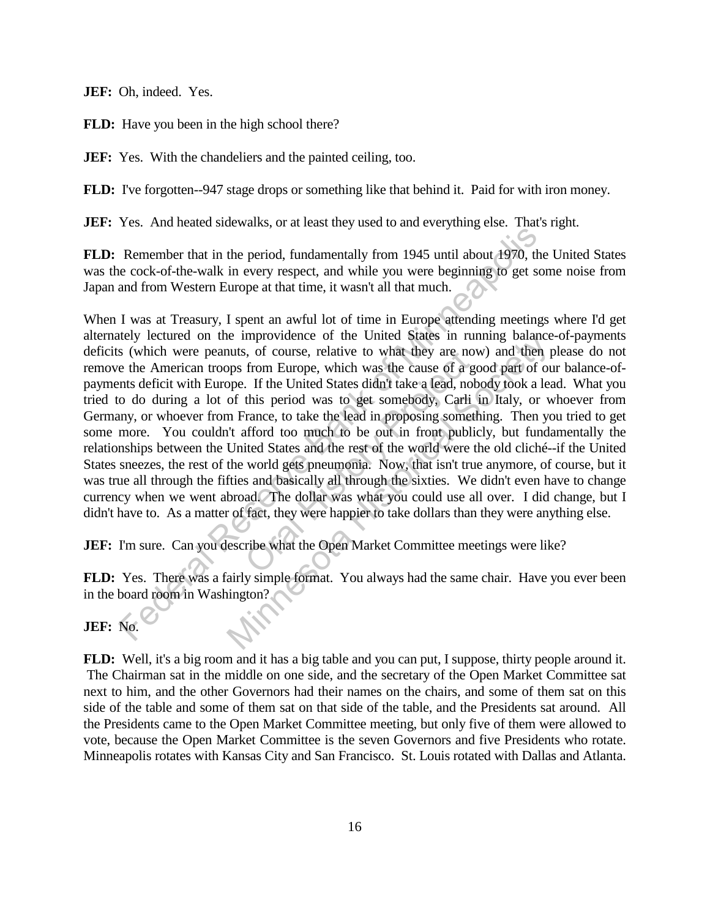**JEF:** Oh, indeed. Yes.

**FLD:** Have you been in the high school there?

**JEF:** Yes. With the chandeliers and the painted ceiling, too.

**FLD:** I've forgotten--947 stage drops or something like that behind it. Paid for with iron money.

**JEF:** Yes. And heated sidewalks, or at least they used to and everything else. That's right.

**FLD:** Remember that in the period, fundamentally from 1945 until about 1970, the United States was the cock-of-the-walk in every respect, and while you were beginning to get some noise from Japan and from Western Europe at that time, it wasn't all that much.

When I was at Treasury, I spent an awful lot of time in Europe attending meetings where I'd get alternately lectured on the improvidence of the United States in running balance-of-payments deficits (which were peanuts, of course, relative to what they are now) and then please do not remove the American troops from Europe, which was the cause of a good part of our balance-ofpayments deficit with Europe. If the United States didn't take a lead, nobody took a lead. What you tried to do during a lot of this period was to get somebody, Carli in Italy, or whoever from Germany, or whoever from France, to take the lead in proposing something. Then you tried to get some more. You couldn't afford too much to be out in front publicly, but fundamentally the relationships between the United States and the rest of the world were the old cliché--if the United States sneezes, the rest of the world gets pneumonia. Now, that isn't true anymore, of course, but it was true all through the fifties and basically all through the sixties. We didn't even have to change currency when we went abroad. The dollar was what you could use all over. I did change, but I didn't have to. As a matter of fact, they were happier to take dollars than they were anything else. For the word of the period, the total and which was what you were becomed to cock-of-the-walk in every respect, and while you were beginning to get so cock-of-the-walk in every respect, and while you were beginning to get is, of course, relative to what they are now<br>from Europe, which was the cause of a g<br>of . If the United States didn't take a lead, nob<br>this period was to get somebody, Carli<br>france, to take the lead in proposing someth<br>aff ide improvidence of the United States in running balance<br>tuts, of course, relative to what they are now) and then p<br>pps from Europe, which was the cause of a good part of our<br>oppe. If the United States didn't take a lead,

**JEF:** I'm sure. Can you describe what the Open Market Committee meetings were like?

**FLD:** Yes. There was a fairly simple format. You always had the same chair. Have you ever been in the board room in Washington?

**JEF:** No.

**FLD:** Well, it's a big room and it has a big table and you can put, I suppose, thirty people around it. The Chairman sat in the middle on one side, and the secretary of the Open Market Committee sat next to him, and the other Governors had their names on the chairs, and some of them sat on this side of the table and some of them sat on that side of the table, and the Presidents sat around. All the Presidents came to the Open Market Committee meeting, but only five of them were allowed to vote, because the Open Market Committee is the seven Governors and five Presidents who rotate. Minneapolis rotates with Kansas City and San Francisco. St. Louis rotated with Dallas and Atlanta.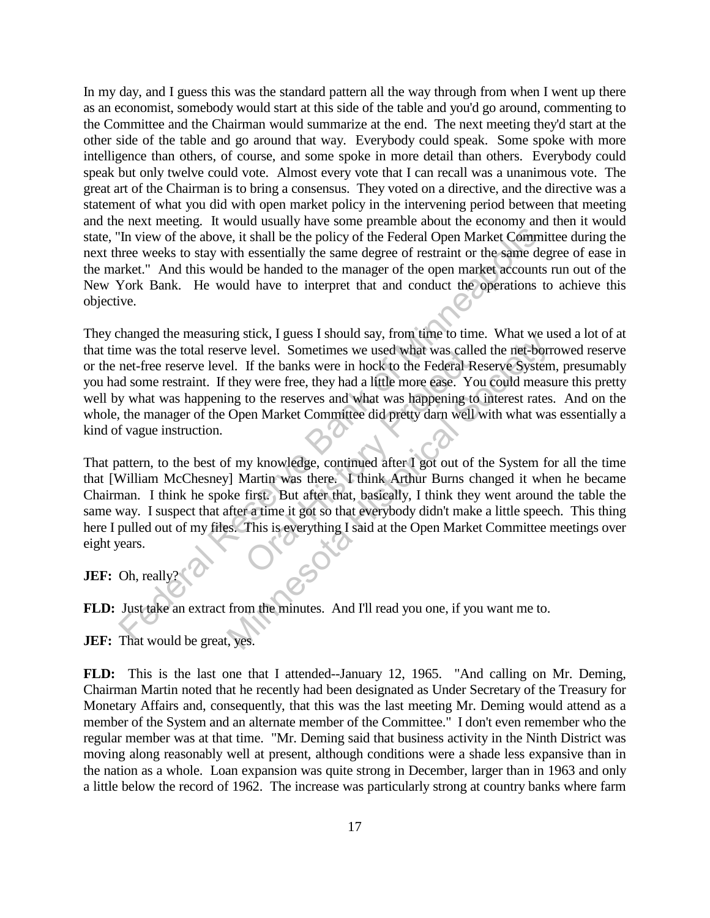In my day, and I guess this was the standard pattern all the way through from when I went up there as an economist, somebody would start at this side of the table and you'd go around, commenting to the Committee and the Chairman would summarize at the end. The next meeting they'd start at the other side of the table and go around that way. Everybody could speak. Some spoke with more intelligence than others, of course, and some spoke in more detail than others. Everybody could speak but only twelve could vote. Almost every vote that I can recall was a unanimous vote. The great art of the Chairman is to bring a consensus. They voted on a directive, and the directive was a statement of what you did with open market policy in the intervening period between that meeting and the next meeting. It would usually have some preamble about the economy and then it would state, "In view of the above, it shall be the policy of the Federal Open Market Committee during the next three weeks to stay with essentially the same degree of restraint or the same degree of ease in the market." And this would be handed to the manager of the open market accounts run out of the New York Bank. He would have to interpret that and conduct the operations to achieve this objective.

They changed the measuring stick, I guess I should say, from time to time. What we used a lot of at that time was the total reserve level. Sometimes we used what was called the net-borrowed reserve or the net-free reserve level. If the banks were in hock to the Federal Reserve System, presumably you had some restraint. If they were free, they had a little more ease. You could measure this pretty well by what was happening to the reserves and what was happening to interest rates. And on the whole, the manager of the Open Market Committee did pretty darn well with what was essentially a kind of vague instruction. Th view of the above, it shall be the policy of the Federal Open Market Comminue weeks to stay with essentially the same degree of restraint or the same defects to stay with essentially the same degree of restraint or the In the banks were used what was called the net-bord.<br>
The banks were in hock to the Federal Reserve System<br>
Hel. If the banks were in hock to the Federal Reserve System<br>
Hel. If the banks were in hock to the Federal Reserv

That pattern, to the best of my knowledge, continued after I got out of the System for all the time that [William McChesney] Martin was there. I think Arthur Burns changed it when he became Chairman. I think he spoke first. But after that, basically, I think they went around the table the same way. I suspect that after a time it got so that everybody didn't make a little speech. This thing here I pulled out of my files. This is everything I said at the Open Market Committee meetings over eight years. Providence In Northern Sometimes we used what was called If the banks were in hock to the Federal Represent If the banks were in hock to the Federal Represent Oral Historic Inc. Yo to the reserves and what was happening to

**JEF:** Oh, really?

**FLD:** Just take an extract from the minutes. And I'll read you one, if you want me to.

**JEF:** That would be great, yes.

**FLD:** This is the last one that I attended--January 12, 1965. "And calling on Mr. Deming, Chairman Martin noted that he recently had been designated as Under Secretary of the Treasury for Monetary Affairs and, consequently, that this was the last meeting Mr. Deming would attend as a member of the System and an alternate member of the Committee." I don't even remember who the regular member was at that time. "Mr. Deming said that business activity in the Ninth District was moving along reasonably well at present, although conditions were a shade less expansive than in the nation as a whole. Loan expansion was quite strong in December, larger than in 1963 and only a little below the record of 1962. The increase was particularly strong at country banks where farm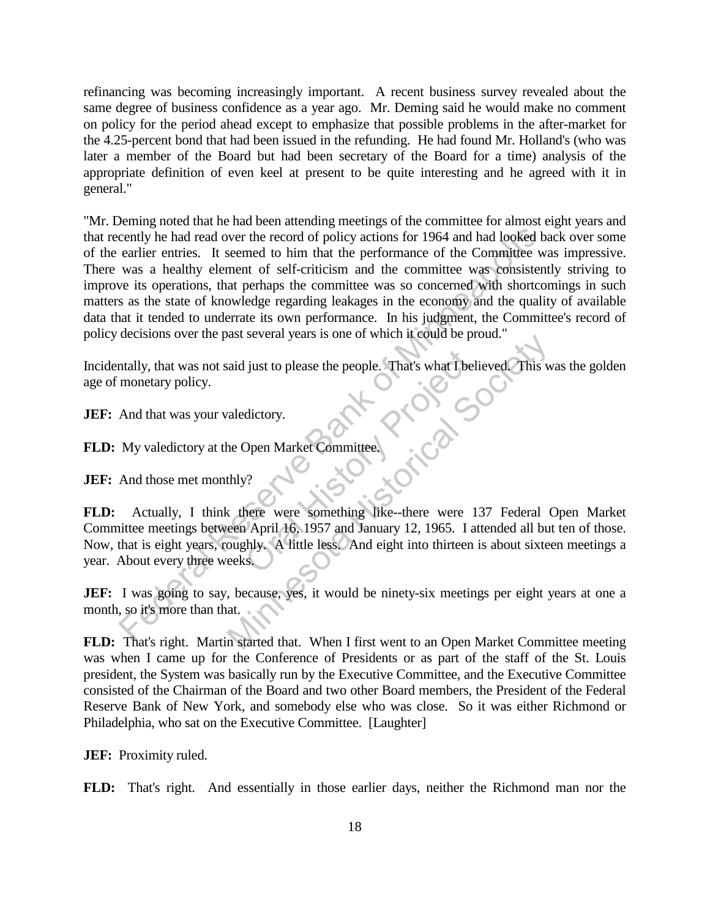refinancing was becoming increasingly important. A recent business survey revealed about the same degree of business confidence as a year ago. Mr. Deming said he would make no comment on policy for the period ahead except to emphasize that possible problems in the after-market for the 4.25-percent bond that had been issued in the refunding. He had found Mr. Holland's (who was later a member of the Board but had been secretary of the Board for a time) analysis of the appropriate definition of even keel at present to be quite interesting and he agreed with it in general."

"Mr. Deming noted that he had been attending meetings of the committee for almost eight years and that recently he had read over the record of policy actions for 1964 and had looked back over some of the earlier entries. It seemed to him that the performance of the Committee was impressive. There was a healthy element of self-criticism and the committee was consistently striving to improve its operations, that perhaps the committee was so concerned with shortcomings in such matters as the state of knowledge regarding leakages in the economy and the quality of available data that it tended to underrate its own performance. In his judgment, the Committee's record of policy decisions over the past several years is one of which it could be proud." cently he had read over the record of policy actions for 1964 and had looked be earlier entires. It seemed to him that the performance of the Committee was consistent was a healthly element of self-criticism and the commit

Incidentally, that was not said just to please the people. That's what I believed. This was the golden age of monetary policy.

**JEF:** And that was your valedictory.

**FLD:** My valedictory at the Open Market Committee.

**JEF:** And those met monthly?

**FLD:** Actually, I think there were something like--there were 137 Federal Open Market Committee meetings between April 16, 1957 and January 12, 1965. I attended all but ten of those. Now, that is eight years, roughly. A little less. And eight into thirteen is about sixteen meetings a year. About every three weeks. Solutions the people. That's what I belt<br>dictory.<br>Open Market Committee.<br>
There were something like-there were 1<br>
April 16, 1957 and January 12, 1965. I at<br>
they. A little less. And eight into thirteen<br>
S. Alternative Society and Society Charles History<br>
That's what I believed This we<br>
aledictory.<br>
The Open Market Committee.<br>
This we<br>
there were something like-there were 137 Federal (<br>
een April 16, 1957 and January 12, 1965

**JEF:** I was going to say, because, yes, it would be ninety-six meetings per eight years at one a month, so it's more than that.

**FLD:** That's right. Martin started that. When I first went to an Open Market Committee meeting was when I came up for the Conference of Presidents or as part of the staff of the St. Louis president, the System was basically run by the Executive Committee, and the Executive Committee consisted of the Chairman of the Board and two other Board members, the President of the Federal Reserve Bank of New York, and somebody else who was close. So it was either Richmond or Philadelphia, who sat on the Executive Committee. [Laughter]

**JEF:** Proximity ruled.

**FLD:** That's right. And essentially in those earlier days, neither the Richmond man nor the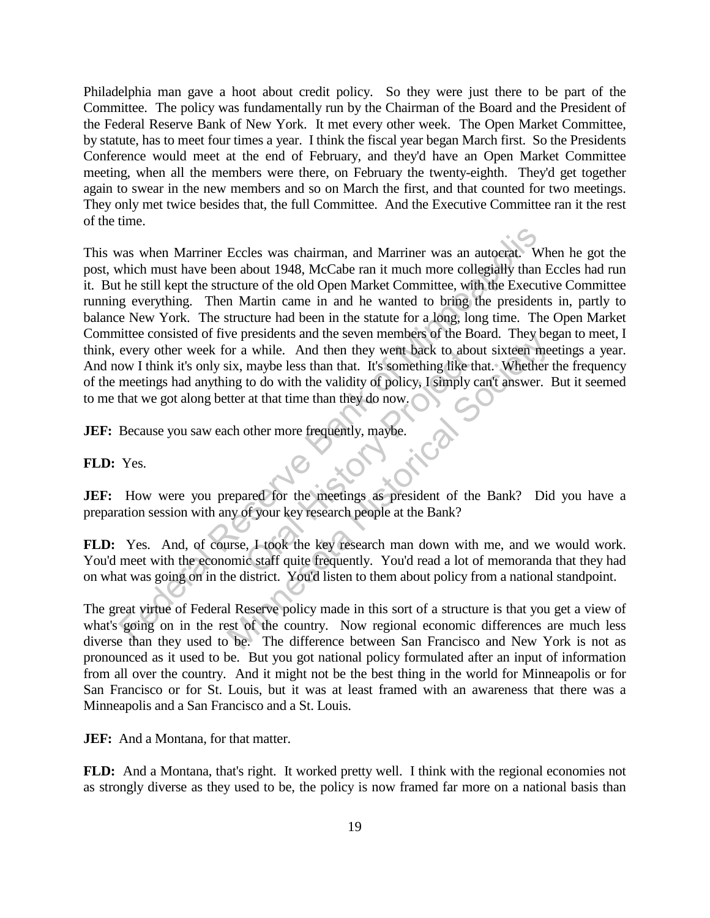Philadelphia man gave a hoot about credit policy. So they were just there to be part of the Committee. The policy was fundamentally run by the Chairman of the Board and the President of the Federal Reserve Bank of New York. It met every other week. The Open Market Committee, by statute, has to meet four times a year. I think the fiscal year began March first. So the Presidents Conference would meet at the end of February, and they'd have an Open Market Committee meeting, when all the members were there, on February the twenty-eighth. They'd get together again to swear in the new members and so on March the first, and that counted for two meetings. They only met twice besides that, the full Committee. And the Executive Committee ran it the rest of the time.

This was when Marriner Eccles was chairman, and Marriner was an autocrat. When he got the post, which must have been about 1948, McCabe ran it much more collegially than Eccles had run it. But he still kept the structure of the old Open Market Committee, with the Executive Committee running everything. Then Martin came in and he wanted to bring the presidents in, partly to balance New York. The structure had been in the statute for a long, long time. The Open Market Committee consisted of five presidents and the seven members of the Board. They began to meet, I think, every other week for a while. And then they went back to about sixteen meetings a year. And now I think it's only six, maybe less than that. It's something like that. Whether the frequency of the meetings had anything to do with the validity of policy, I simply can't answer. But it seemed to me that we got along better at that time than they do now. was when Marriner Eccles was chairman, and Marriner was an autocrat. Which must have been about 1948, McCabe ran it much more collegrially than the still kept the structure of the old Open Market Committee, with the Execut And then they went back to about<br>
maybe less than that. It's something like the to do with the validity of policy, I simply c<br>
at that time than they do now.<br>
other more frequently, maybe.<br>
ared for the meetings as preside Fig. 2.1 and the seven lineness of the Board. They be<br>the presidents and the seven lineness of the Board. They be<br>ix, maybe less than that. It's something tike that Whether<br>ing to do with the validity of policy, I simply c

**JEF:** Because you saw each other more frequently, maybe.

**FLD:** Yes.

**JEF:** How were you prepared for the meetings as president of the Bank? Did you have a preparation session with any of your key research people at the Bank?

**FLD:** Yes. And, of course, I took the key research man down with me, and we would work. You'd meet with the economic staff quite frequently. You'd read a lot of memoranda that they had on what was going on in the district. You'd listen to them about policy from a national standpoint.

The great virtue of Federal Reserve policy made in this sort of a structure is that you get a view of what's going on in the rest of the country. Now regional economic differences are much less diverse than they used to be. The difference between San Francisco and New York is not as pronounced as it used to be. But you got national policy formulated after an input of information from all over the country. And it might not be the best thing in the world for Minneapolis or for San Francisco or for St. Louis, but it was at least framed with an awareness that there was a Minneapolis and a San Francisco and a St. Louis.

**JEF:** And a Montana, for that matter.

**FLD:** And a Montana, that's right. It worked pretty well. I think with the regional economies not as strongly diverse as they used to be, the policy is now framed far more on a national basis than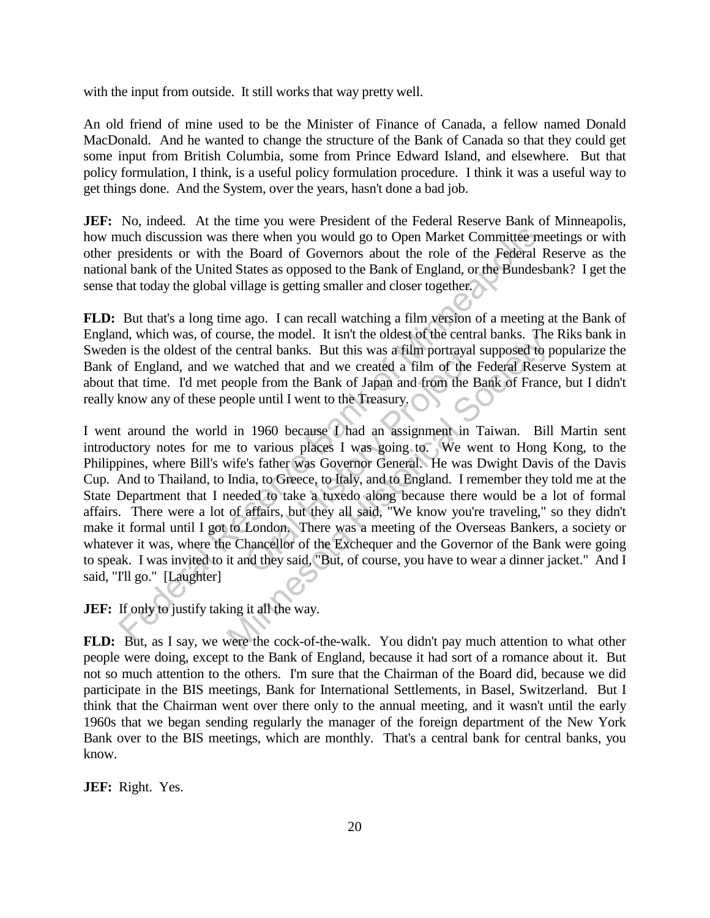with the input from outside. It still works that way pretty well.

An old friend of mine used to be the Minister of Finance of Canada, a fellow named Donald MacDonald. And he wanted to change the structure of the Bank of Canada so that they could get some input from British Columbia, some from Prince Edward Island, and elsewhere. But that policy formulation, I think, is a useful policy formulation procedure. I think it was a useful way to get things done. And the System, over the years, hasn't done a bad job.

**JEF:** No, indeed. At the time you were President of the Federal Reserve Bank of Minneapolis, how much discussion was there when you would go to Open Market Committee meetings or with other presidents or with the Board of Governors about the role of the Federal Reserve as the national bank of the United States as opposed to the Bank of England, or the Bundesbank? I get the sense that today the global village is getting smaller and closer together.

**FLD:** But that's a long time ago. I can recall watching a film version of a meeting at the Bank of England, which was, of course, the model. It isn't the oldest of the central banks. The Riks bank in Sweden is the oldest of the central banks. But this was a film portrayal supposed to popularize the Bank of England, and we watched that and we created a film of the Federal Reserve System at about that time. I'd met people from the Bank of Japan and from the Bank of France, but I didn't really know any of these people until I went to the Treasury.

I went around the world in 1960 because I had an assignment in Taiwan. Bill Martin sent introductory notes for me to various places I was going to. We went to Hong Kong, to the Philippines, where Bill's wife's father was Governor General. He was Dwight Davis of the Davis Cup. And to Thailand, to India, to Greece, to Italy, and to England. I remember they told me at the State Department that I needed to take a tuxedo along because there would be a lot of formal affairs. There were a lot of affairs, but they all said, "We know you're traveling," so they didn't make it formal until I got to London. There was a meeting of the Overseas Bankers, a society or whatever it was, where the Chancellor of the Exchequer and the Governor of the Bank were going to speak. I was invited to it and they said, "But, of course, you have to wear a dinner jacket." And I said, "I'll go." [Laughter] uch discussion was there when you would go to Open Market Committee mental and the bott of the Bourdos about the role of the Federal Fall all also that of the United States as opposed to the Bank of England, or the Bundest entral banks. But this was a film portrayal<br>atched that and we created a film of the l<br>ble from the Bank of Japan and from the E<br>le until I went to the Treasury.<br>1960 because I had an assignment in<br>5 various places I was g burse, the model. It isn't the othest of the central banks. The<br>
e central banks. But this was a film portrayal supposed to p<br>
e vatched that and we created a film of the Federal Reser<br>
evelople from the Bank of Japan and

**JEF:** If only to justify taking it all the way.

**FLD:** But, as I say, we were the cock-of-the-walk. You didn't pay much attention to what other people were doing, except to the Bank of England, because it had sort of a romance about it. But not so much attention to the others. I'm sure that the Chairman of the Board did, because we did participate in the BIS meetings, Bank for International Settlements, in Basel, Switzerland. But I think that the Chairman went over there only to the annual meeting, and it wasn't until the early 1960s that we began sending regularly the manager of the foreign department of the New York Bank over to the BIS meetings, which are monthly. That's a central bank for central banks, you know.

**JEF:** Right. Yes.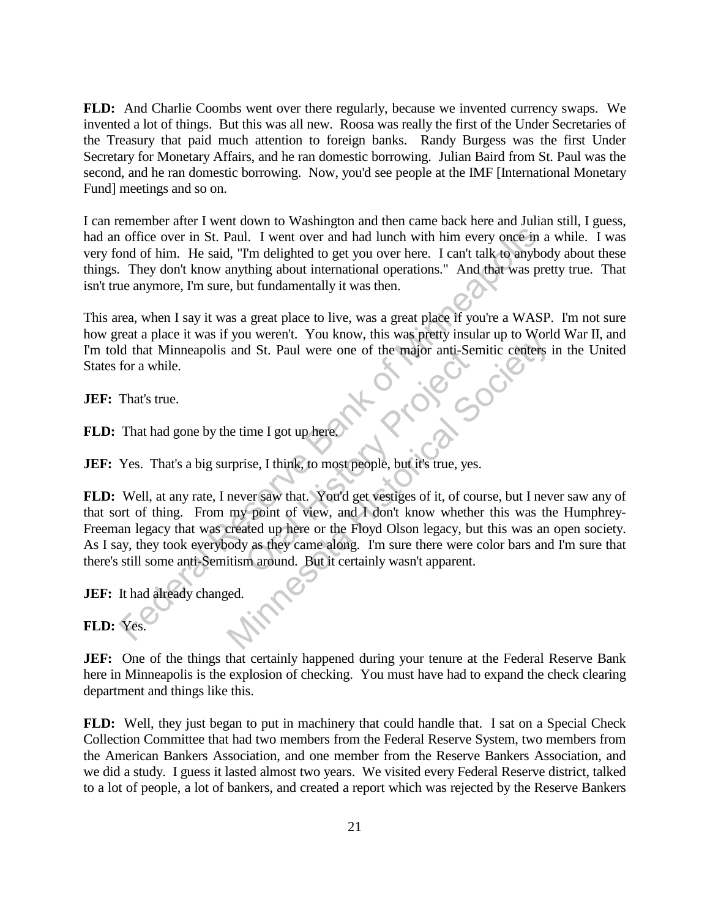**FLD:** And Charlie Coombs went over there regularly, because we invented currency swaps. We invented a lot of things. But this was all new. Roosa was really the first of the Under Secretaries of the Treasury that paid much attention to foreign banks. Randy Burgess was the first Under Secretary for Monetary Affairs, and he ran domestic borrowing. Julian Baird from St. Paul was the second, and he ran domestic borrowing. Now, you'd see people at the IMF [International Monetary Fund] meetings and so on.

I can remember after I went down to Washington and then came back here and Julian still, I guess, had an office over in St. Paul. I went over and had lunch with him every once in a while. I was very fond of him. He said, "I'm delighted to get you over here. I can't talk to anybody about these things. They don't know anything about international operations." And that was pretty true. That isn't true anymore, I'm sure, but fundamentally it was then.

This area, when I say it was a great place to live, was a great place if you're a WASP. I'm not sure how great a place it was if you weren't. You know, this was pretty insular up to World War II, and I'm told that Minneapolis and St. Paul were one of the major anti-Semitic centers in the United States for a while. **Project** 

**JEF:** That's true.

**FLD:** That had gone by the time I got up here.

**JEF:** Yes. That's a big surprise, I think, to most people, but it's true, yes.

**FLD:** Well, at any rate, I never saw that. You'd get vestiges of it, of course, but I never saw any of that sort of thing. From my point of view, and I don't know whether this was the Humphrey-Freeman legacy that was created up here or the Floyd Olson legacy, but this was an open society. As I say, they took everybody as they came along. I'm sure there were color bars and I'm sure that there's still some anti-Semitism around. But it certainly wasn't apparent. Federal Reserve In St. Paul. I went over and had lunch with him every once in and of him. He said, "Tm delighted to get you over here. I can't talk to anybot complement in They don't know anything about international opera you wefer. The Kilow, this was pletly insular up to word<br>and St. Paul were one of the major anti-Semitic centers<br>and St. Paul were one of the major anti-Semitic centers<br>are the Higher and Monit is true, yes.<br>never saw that

**JEF:** It had already changed.

**FLD:** Yes.

**JEF:** One of the things that certainly happened during your tenure at the Federal Reserve Bank here in Minneapolis is the explosion of checking. You must have had to expand the check clearing department and things like this.

**FLD:** Well, they just began to put in machinery that could handle that. I sat on a Special Check Collection Committee that had two members from the Federal Reserve System, two members from the American Bankers Association, and one member from the Reserve Bankers Association, and we did a study. I guess it lasted almost two years. We visited every Federal Reserve district, talked to a lot of people, a lot of bankers, and created a report which was rejected by the Reserve Bankers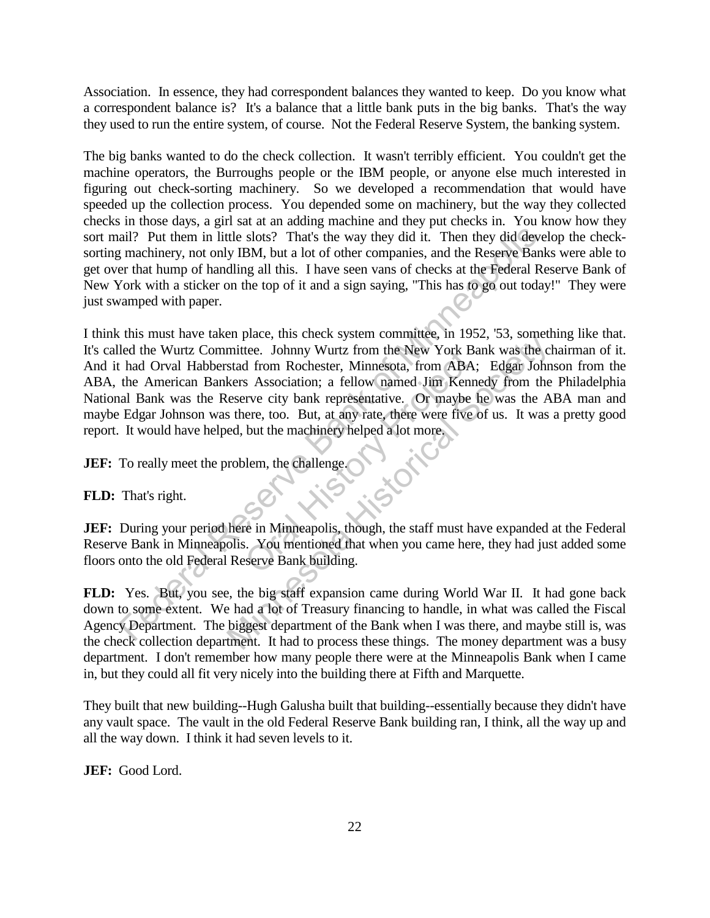Association. In essence, they had correspondent balances they wanted to keep. Do you know what a correspondent balance is? It's a balance that a little bank puts in the big banks. That's the way they used to run the entire system, of course. Not the Federal Reserve System, the banking system.

The big banks wanted to do the check collection. It wasn't terribly efficient. You couldn't get the machine operators, the Burroughs people or the IBM people, or anyone else much interested in figuring out check-sorting machinery. So we developed a recommendation that would have speeded up the collection process. You depended some on machinery, but the way they collected checks in those days, a girl sat at an adding machine and they put checks in. You know how they sort mail? Put them in little slots? That's the way they did it. Then they did develop the checksorting machinery, not only IBM, but a lot of other companies, and the Reserve Banks were able to get over that hump of handling all this. I have seen vans of checks at the Federal Reserve Bank of New York with a sticker on the top of it and a sign saying, "This has to go out today!" They were just swamped with paper.

I think this must have taken place, this check system committee, in 1952, '53, something like that. It's called the Wurtz Committee. Johnny Wurtz from the New York Bank was the chairman of it. And it had Orval Habberstad from Rochester, Minnesota, from ABA; Edgar Johnson from the ABA, the American Bankers Association; a fellow named Jim Kennedy from the Philadelphia National Bank was the Reserve city bank representative. Or maybe he was the ABA man and maybe Edgar Johnson was there, too. But, at any rate, there were five of us. It was a pretty good report. It would have helped, but the machinery helped a lot more. ail? Put them in little slots? That's the way they did it. Then they did deve<br>
in machinery, not only IBM, but a lot of other companies, and the Reserve Bank<br>
for machinery, not only IBM, but a lot of other companies, and in Story Pr En piace, this check system comminee, in 1952, 35, sometimittee. Iohnny Wurtz from the New York Bank was the climatest and from Rochester, Minnesota, from ABA; Edgar John kers Association; a fellow named Jim Kennedy from t

**JEF:** To really meet the problem, the challenge.

**FLD:** That's right.

**JEF:** During your period here in Minneapolis, though, the staff must have expanded at the Federal Reserve Bank in Minneapolis. You mentioned that when you came here, they had just added some floors onto the old Federal Reserve Bank building.

FLD: Yes. But, you see, the big staff expansion came during World War II. It had gone back down to some extent. We had a lot of Treasury financing to handle, in what was called the Fiscal Agency Department. The biggest department of the Bank when I was there, and maybe still is, was the check collection department. It had to process these things. The money department was a busy department. I don't remember how many people there were at the Minneapolis Bank when I came in, but they could all fit very nicely into the building there at Fifth and Marquette.

They built that new building--Hugh Galusha built that building--essentially because they didn't have any vault space. The vault in the old Federal Reserve Bank building ran, I think, all the way up and all the way down. I think it had seven levels to it.

**JEF:** Good Lord.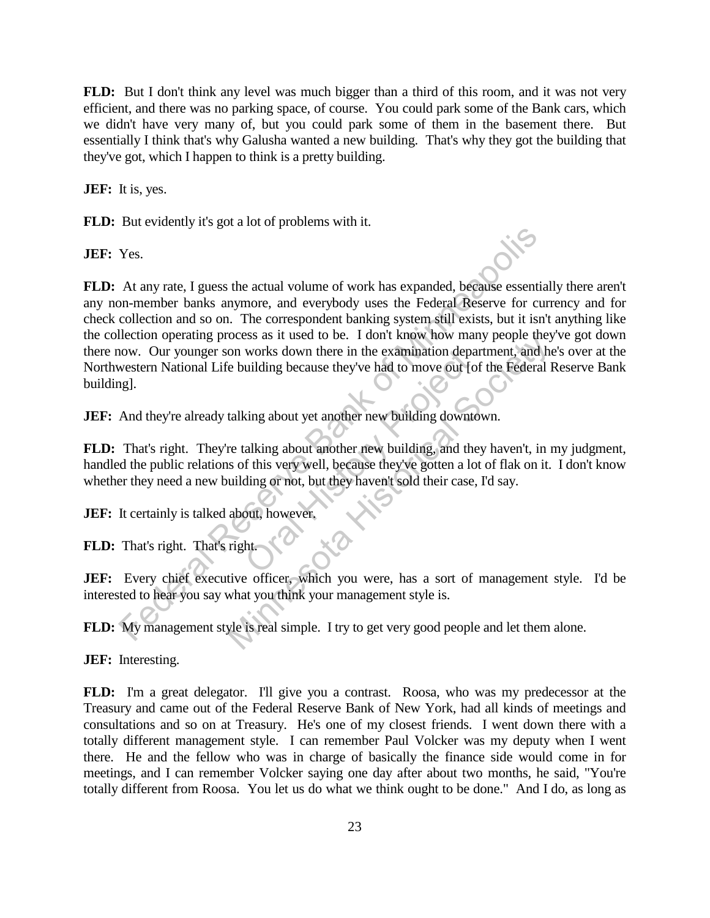**FLD:** But I don't think any level was much bigger than a third of this room, and it was not very efficient, and there was no parking space, of course. You could park some of the Bank cars, which we didn't have very many of, but you could park some of them in the basement there. But essentially I think that's why Galusha wanted a new building. That's why they got the building that they've got, which I happen to think is a pretty building.

**JEF:** It is, yes.

**FLD:** But evidently it's got a lot of problems with it.

**JEF:** Yes.

**FLD:** At any rate, I guess the actual volume of work has expanded, because essentially there aren't any non-member banks anymore, and everybody uses the Federal Reserve for currency and for check collection and so on. The correspondent banking system still exists, but it isn't anything like the collection operating process as it used to be. I don't know how many people they've got down there now. Our younger son works down there in the examination department, and he's over at the Northwestern National Life building because they've had to move out [of the Federal Reserve Bank building]. The State of Minnesotic State and Solution State State State State State State State State State Collection operating process as it used to be. I don't know how many people theorem collection operating process as it used t between the examination department, and he between works down there in the examination department, and he between the between the between the Federal I talking about yet another new building downtown.<br>
The Federal I talkin

**JEF:** And they're already talking about yet another new building downtown.

**FLD:** That's right. They're talking about another new building, and they haven't, in my judgment, handled the public relations of this very well, because they've gotten a lot of flak on it. I don't know whether they need a new building or not, but they haven't sold their case, I'd say. works down there in the examination depatidling because they've had to move out [organized in the value of this very well, because they've gotten a lot of this very well, because they've gotten a lot of this very well, bec

**JEF:** It certainly is talked about, however.

**FLD:** That's right. That's right.

JEF: Every chief executive officer, which you were, has a sort of management style. I'd be interested to hear you say what you think your management style is.

**FLD:** My management style is real simple. I try to get very good people and let them alone.

**JEF:** Interesting.

**FLD:** I'm a great delegator. I'll give you a contrast. Roosa, who was my predecessor at the Treasury and came out of the Federal Reserve Bank of New York, had all kinds of meetings and consultations and so on at Treasury. He's one of my closest friends. I went down there with a totally different management style. I can remember Paul Volcker was my deputy when I went there. He and the fellow who was in charge of basically the finance side would come in for meetings, and I can remember Volcker saying one day after about two months, he said, "You're totally different from Roosa. You let us do what we think ought to be done." And I do, as long as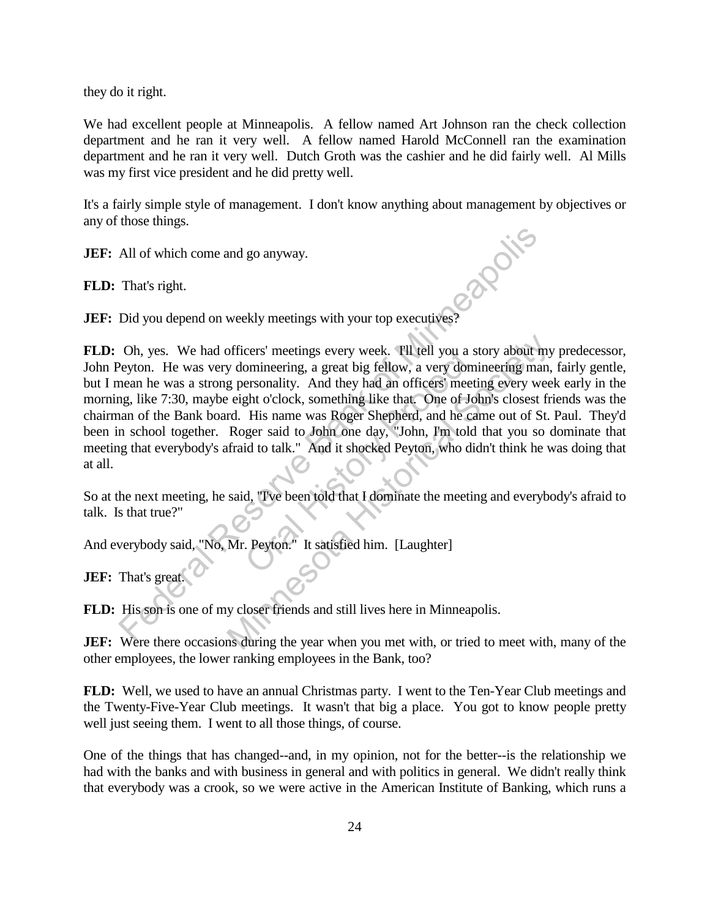they do it right.

We had excellent people at Minneapolis. A fellow named Art Johnson ran the check collection department and he ran it very well. A fellow named Harold McConnell ran the examination department and he ran it very well. Dutch Groth was the cashier and he did fairly well. Al Mills was my first vice president and he did pretty well.

It's a fairly simple style of management. I don't know anything about management by objectives or any of those things.

**JEF:** All of which come and go anyway.

**FLD:** That's right.

**JEF:** Did you depend on weekly meetings with your top executives?

**FLD:** Oh, yes. We had officers' meetings every week. I'll tell you a story about my predecessor, John Peyton. He was very domineering, a great big fellow, a very domineering man, fairly gentle, but I mean he was a strong personality. And they had an officers' meeting every week early in the morning, like 7:30, maybe eight o'clock, something like that. One of John's closest friends was the chairman of the Bank board. His name was Roger Shepherd, and he came out of St. Paul. They'd been in school together. Roger said to John one day, "John, I'm told that you so dominate that meeting that everybody's afraid to talk." And it shocked Peyton, who didn't think he was doing that at all. All of which come and go anyway.<br>
That's right.<br>
Did you depend on weekly meetings with your top executives?<br>
Oh, yes. We had officers' meetings every week. Til tell you a story about mey<br>
reyton. He was very dominearing, cers' meetings every week. I'll tell you a s<br>omineering, a great big fellow, a very dom<br>ersonality. And they had an officers' meeti<br>ght o'clock, something like that. One of Jo.<br>His name was Roger Shepherd, and he ca<br>ger sa officers' meetings every week. Til tell you a story about my domineering, a great big fellow, a very domineering man, g personality. And they had an officers' meeting every wee eight o'clock, something like that. One of Jo

So at the next meeting, he said, "I've been told that I dominate the meeting and everybody's afraid to talk. Is that true?"

And everybody said, "No, Mr. Peyton." It satisfied him. [Laughter]

**JEF:** That's great.

**FLD:** His son is one of my closer friends and still lives here in Minneapolis.

**JEF:** Were there occasions during the year when you met with, or tried to meet with, many of the other employees, the lower ranking employees in the Bank, too?

**FLD:** Well, we used to have an annual Christmas party. I went to the Ten-Year Club meetings and the Twenty-Five-Year Club meetings. It wasn't that big a place. You got to know people pretty well just seeing them. I went to all those things, of course.

One of the things that has changed--and, in my opinion, not for the better--is the relationship we had with the banks and with business in general and with politics in general. We didn't really think that everybody was a crook, so we were active in the American Institute of Banking, which runs a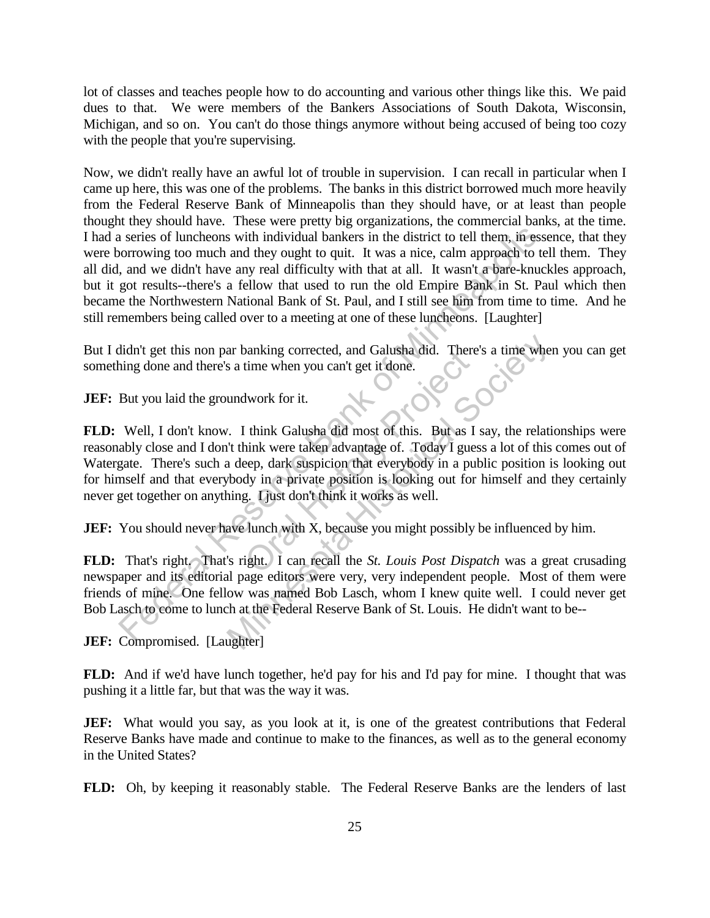lot of classes and teaches people how to do accounting and various other things like this. We paid dues to that. We were members of the Bankers Associations of South Dakota, Wisconsin, Michigan, and so on. You can't do those things anymore without being accused of being too cozy with the people that you're supervising.

Now, we didn't really have an awful lot of trouble in supervision. I can recall in particular when I came up here, this was one of the problems. The banks in this district borrowed much more heavily from the Federal Reserve Bank of Minneapolis than they should have, or at least than people thought they should have. These were pretty big organizations, the commercial banks, at the time. I had a series of luncheons with individual bankers in the district to tell them, in essence, that they were borrowing too much and they ought to quit. It was a nice, calm approach to tell them. They all did, and we didn't have any real difficulty with that at all. It wasn't a bare-knuckles approach, but it got results--there's a fellow that used to run the old Empire Bank in St. Paul which then became the Northwestern National Bank of St. Paul, and I still see him from time to time. And he still remembers being called over to a meeting at one of these luncheons. [Laughter] a series of luncheons with individual bankers in the district to tell them, in essembororowing to omuch and they ought to quit. It was a nice, calm approach to tell than a more and throught of the quite quite to a meeting

But I didn't get this non par banking corrected, and Galusha did. There's a time when you can get something done and there's a time when you can't get it done.

**JEF:** But you laid the groundwork for it.

**FLD:** Well, I don't know. I think Galusha did most of this. But as I say, the relationships were reasonably close and I don't think were taken advantage of. Today I guess a lot of this comes out of Watergate. There's such a deep, dark suspicion that everybody in a public position is looking out for himself and that everybody in a private position is looking out for himself and they certainly never get together on anything. I just don't think it works as well. Manking corrected, and Galusha did. There<br>time when you can't get it done.<br>
Hwork for it.<br>
think Galusha did most of this. But as I<br>
nink were taken advantage of. Today I gues<br>
eep, dark suspicion that everybody in a pul<br> ar banking corrected, and Galusha did. There's a time whe<br>s a time when you can't get it done.<br>
undwork for it.<br>
. I think Galusha did most of this. But as I say, the relative it it think were taken advantage of. Today I g

**JEF:** You should never have lunch with X, because you might possibly be influenced by him.

**FLD:** That's right. That's right. I can recall the *St. Louis Post Dispatch* was a great crusading newspaper and its editorial page editors were very, very independent people. Most of them were friends of mine. One fellow was named Bob Lasch, whom I knew quite well. I could never get Bob Lasch to come to lunch at the Federal Reserve Bank of St. Louis. He didn't want to be--

**JEF:** Compromised. [Laughter]

**FLD:** And if we'd have lunch together, he'd pay for his and I'd pay for mine. I thought that was pushing it a little far, but that was the way it was.

**JEF:** What would you say, as you look at it, is one of the greatest contributions that Federal Reserve Banks have made and continue to make to the finances, as well as to the general economy in the United States?

**FLD:** Oh, by keeping it reasonably stable. The Federal Reserve Banks are the lenders of last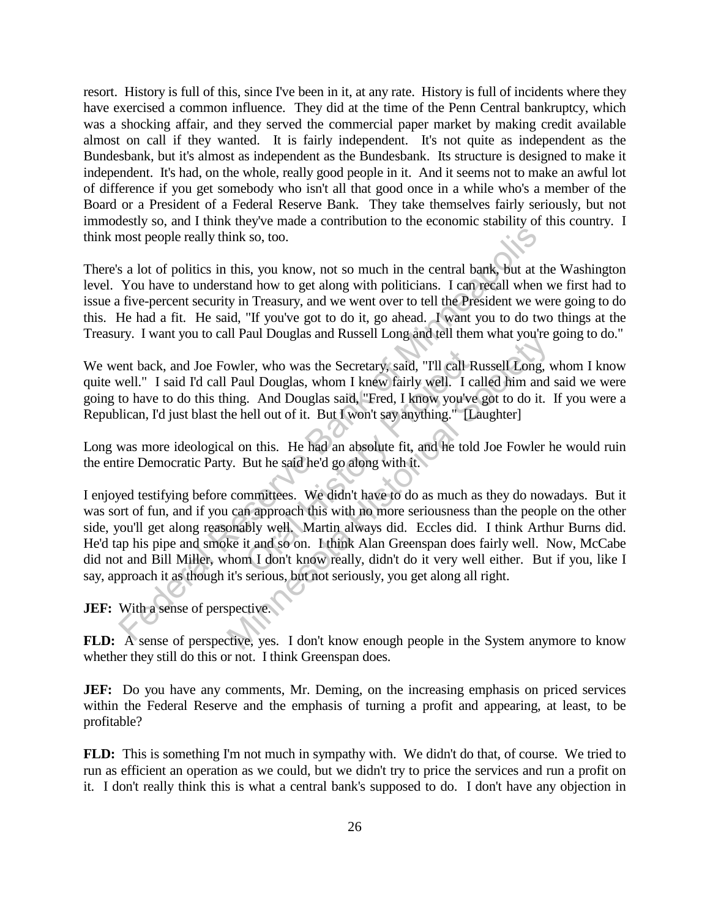resort. History is full of this, since I've been in it, at any rate. History is full of incidents where they have exercised a common influence. They did at the time of the Penn Central bankruptcy, which was a shocking affair, and they served the commercial paper market by making credit available almost on call if they wanted. It is fairly independent. It's not quite as independent as the Bundesbank, but it's almost as independent as the Bundesbank. Its structure is designed to make it independent. It's had, on the whole, really good people in it. And it seems not to make an awful lot of difference if you get somebody who isn't all that good once in a while who's a member of the Board or a President of a Federal Reserve Bank. They take themselves fairly seriously, but not immodestly so, and I think they've made a contribution to the economic stability of this country. I think most people really think so, too.

There's a lot of politics in this, you know, not so much in the central bank, but at the Washington level. You have to understand how to get along with politicians. I can recall when we first had to issue a five-percent security in Treasury, and we went over to tell the President we were going to do this. He had a fit. He said, "If you've got to do it, go ahead. I want you to do two things at the Treasury. I want you to call Paul Douglas and Russell Long and tell them what you're going to do."

We went back, and Joe Fowler, who was the Secretary, said, "I'll call Russell Long, whom I know quite well." I said I'd call Paul Douglas, whom I knew fairly well. I called him and said we were going to have to do this thing. And Douglas said, "Fred, I know you've got to do it. If you were a Republican, I'd just blast the hell out of it. But I won't say anything." [Laughter]

Long was more ideological on this. He had an absolute fit, and he told Joe Fowler he would ruin the entire Democratic Party. But he said he'd go along with it.

I enjoyed testifying before committees. We didn't have to do as much as they do nowadays. But it was sort of fun, and if you can approach this with no more seriousness than the people on the other side, you'll get along reasonably well. Martin always did. Eccles did. I think Arthur Burns did. He'd tap his pipe and smoke it and so on. I think Alan Greenspan does fairly well. Now, McCabe did not and Bill Miller, whom I don't know really, didn't do it very well either. But if you, like I say, approach it as though it's serious, but not seriously, you get along all right. most people really think so, too.<br>
sa lot of politics in this, you know, not so much in the central bank, but at f<br>
You have to understand how to get along with politicians. I can recall when<br>
five-percent security in Trea er, who was the Secretary, said, "I'll call R<br>ul Douglas, whom I knew fairly well. I ca<br>t. And Douglas said, "Fred, I know you've<br>nell out of it. But I won't say anything." [La<br>n this. He had an absolute fit, and he told<br>B In Faur Douglas and Russen Long and ten them what you're<br>weler, who was the Secretary, said, "Tll call Russell Long, v<br>Paul Douglas, whom I knew fairly well. I called him and<br>ing. And Douglas said, "Fred, I know you've got

## **JEF:** With a sense of perspective.

**FLD:** A sense of perspective, yes. I don't know enough people in the System anymore to know whether they still do this or not. I think Greenspan does.

**JEF:** Do you have any comments, Mr. Deming, on the increasing emphasis on priced services within the Federal Reserve and the emphasis of turning a profit and appearing, at least, to be profitable?

**FLD:** This is something I'm not much in sympathy with. We didn't do that, of course. We tried to run as efficient an operation as we could, but we didn't try to price the services and run a profit on it. I don't really think this is what a central bank's supposed to do. I don't have any objection in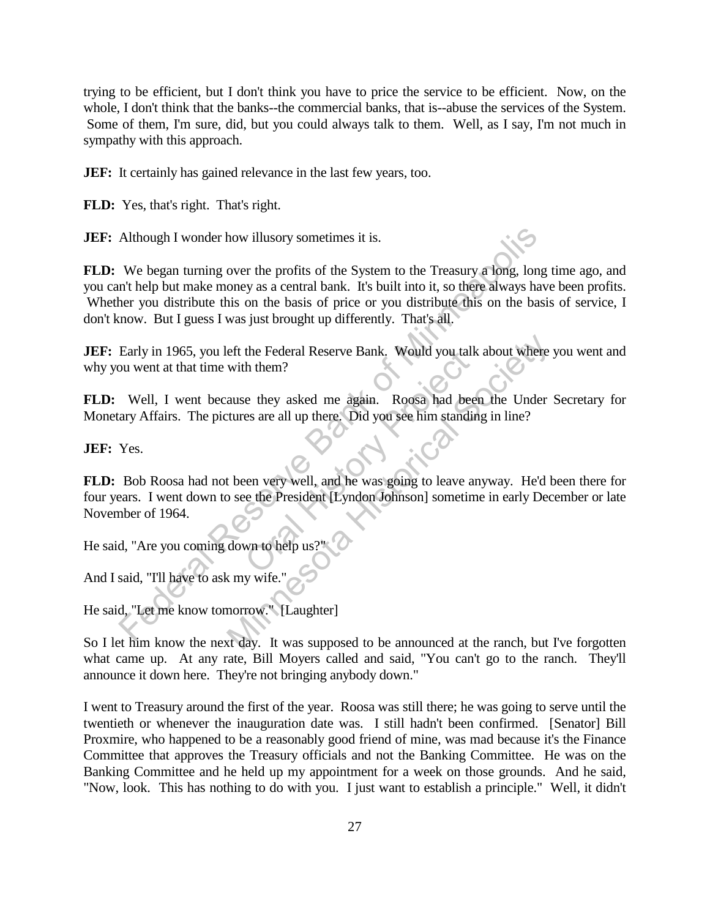trying to be efficient, but I don't think you have to price the service to be efficient. Now, on the whole, I don't think that the banks--the commercial banks, that is--abuse the services of the System. Some of them, I'm sure, did, but you could always talk to them. Well, as I say, I'm not much in sympathy with this approach.

**JEF:** It certainly has gained relevance in the last few years, too.

**FLD:** Yes, that's right. That's right.

**JEF:** Although I wonder how illusory sometimes it is.

**FLD:** We began turning over the profits of the System to the Treasury a long, long time ago, and you can't help but make money as a central bank. It's built into it, so there always have been profits. Whether you distribute this on the basis of price or you distribute this on the basis of service, I don't know. But I guess I was just brought up differently. That's all. Although I wonder how illusory sometimes it is.<br>
We began turning over the profits of the System to the Treasury a long, long<br>
an't help but make money as a central bank. It's built into it, so there always have<br>
her you d

**JEF:** Early in 1965, you left the Federal Reserve Bank. Would you talk about where you went and why you went at that time with them?

**FLD:** Well, I went because they asked me again. Roosa had been the Under Secretary for Monetary Affairs. The pictures are all up there. Did you see him standing in line?

**JEF:** Yes.

**FLD:** Bob Roosa had not been very well, and he was going to leave anyway. He'd been there for four years. I went down to see the President [Lyndon Johnson] sometime in early December or late November of 1964. the Federal Reserve Bank. Would you talk<br>h them?<br>e they asked me again. Roosa had been es are all up there. Did you see him standin<br>es are all up there. Did you see him standin<br>en very well, and he was going to leave are<br>t eft the Federal Reserve Bank. Would you talk about where<br>with them?<br>ause they asked me again. Roosa had been the Under<br>tures are all up there. Did you see him standing in line?<br>then very well, and he was going to leave any

He said, "Are you coming down to help us?"

And I said, "I'll have to ask my wife."

He said, "Let me know tomorrow." [Laughter]

So I let him know the next day. It was supposed to be announced at the ranch, but I've forgotten what came up. At any rate, Bill Moyers called and said, "You can't go to the ranch. They'll announce it down here. They're not bringing anybody down."

I went to Treasury around the first of the year. Roosa was still there; he was going to serve until the twentieth or whenever the inauguration date was. I still hadn't been confirmed. [Senator] Bill Proxmire, who happened to be a reasonably good friend of mine, was mad because it's the Finance Committee that approves the Treasury officials and not the Banking Committee. He was on the Banking Committee and he held up my appointment for a week on those grounds. And he said, "Now, look. This has nothing to do with you. I just want to establish a principle." Well, it didn't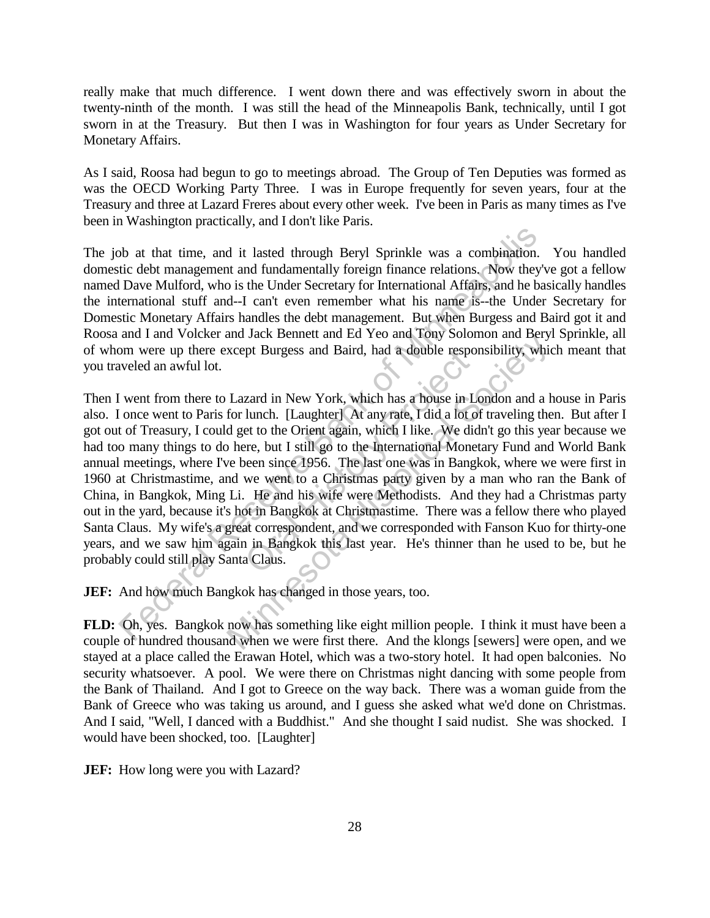really make that much difference. I went down there and was effectively sworn in about the twenty-ninth of the month. I was still the head of the Minneapolis Bank, technically, until I got sworn in at the Treasury. But then I was in Washington for four years as Under Secretary for Monetary Affairs.

As I said, Roosa had begun to go to meetings abroad. The Group of Ten Deputies was formed as was the OECD Working Party Three. I was in Europe frequently for seven years, four at the Treasury and three at Lazard Freres about every other week. I've been in Paris as many times as I've been in Washington practically, and I don't like Paris.

The job at that time, and it lasted through Beryl Sprinkle was a combination. You handled domestic debt management and fundamentally foreign finance relations. Now they've got a fellow named Dave Mulford, who is the Under Secretary for International Affairs, and he basically handles the international stuff and--I can't even remember what his name is--the Under Secretary for Domestic Monetary Affairs handles the debt management. But when Burgess and Baird got it and Roosa and I and Volcker and Jack Bennett and Ed Yeo and Tony Solomon and Beryl Sprinkle, all of whom were up there except Burgess and Baird, had a double responsibility, which meant that you traveled an awful lot.

Then I went from there to Lazard in New York, which has a house in London and a house in Paris also. I once went to Paris for lunch. [Laughter] At any rate, I did a lot of traveling then. But after I got out of Treasury, I could get to the Orient again, which I like. We didn't go this year because we had too many things to do here, but I still go to the International Monetary Fund and World Bank annual meetings, where I've been since 1956. The last one was in Bangkok, where we were first in 1960 at Christmastime, and we went to a Christmas party given by a man who ran the Bank of China, in Bangkok, Ming Li. He and his wife were Methodists. And they had a Christmas party out in the yard, because it's hot in Bangkok at Christmastime. There was a fellow there who played Santa Claus. My wife's a great correspondent, and we corresponded with Fanson Kuo for thirty-one years, and we saw him again in Bangkok this last year. He's thinner than he used to be, but he probably could still play Santa Claus. b at that time, and it lasted through Beryl Sprinkle was a combination.<br>tic debt management and fundamentally foreign finance relations. Now they's Dave Mulford, who is the Under Secretary for International Affairs, and he pt Burgess and Barrd, had a double responded in New York, which has a house in Lunch. [Laughter] At any rate, I did a lot of the Orient again, which I like. We did the Orient again, which I like. We did the Orient again, w and Jack Bennett and Ed Teo and Yony Solomon and Bery<br>xcept Burgess and Baird, had a double responsibility, which<br>Lazard in New York, which has a house in London and a h<br>for lunch. [Laughter] At any rate, I did a lot of tr

**JEF:** And how much Bangkok has changed in those years, too.

**FLD:** Oh, yes. Bangkok now has something like eight million people. I think it must have been a couple of hundred thousand when we were first there. And the klongs [sewers] were open, and we stayed at a place called the Erawan Hotel, which was a two-story hotel. It had open balconies. No security whatsoever. A pool. We were there on Christmas night dancing with some people from the Bank of Thailand. And I got to Greece on the way back. There was a woman guide from the Bank of Greece who was taking us around, and I guess she asked what we'd done on Christmas. And I said, "Well, I danced with a Buddhist." And she thought I said nudist. She was shocked. I would have been shocked, too. [Laughter]

**JEF:** How long were you with Lazard?